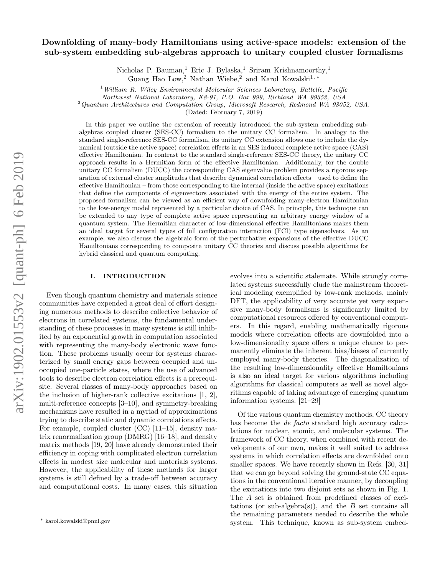# Downfolding of many-body Hamiltonians using active-space models: extension of the sub-system embedding sub-algebras approach to unitary coupled cluster formalisms

Nicholas P. Bauman,<sup>1</sup> Eric J. Bylaska,<sup>1</sup> Sriram Krishnamoorthy,<sup>1</sup>

Guang Hao Low,<sup>2</sup> Nathan Wiebe,<sup>2</sup> and Karol Kowalski<sup>1, ∗</sup>

 $1$  William R. Wiley Environmental Molecular Sciences Laboratory, Battelle, Pacific

Northwest National Laboratory, K8-91, P.O. Box 999, Richland WA 99352, USA

 $^{2}$ Quantum Architectures and Computation Group, Microsoft Research, Redmond WA 98052, USA.

(Dated: February 7, 2019)

In this paper we outline the extension of recently introduced the sub-system embedding subalgebras coupled cluster (SES-CC) formalism to the unitary CC formalism. In analogy to the standard single-reference SES-CC formalism, its unitary CC extension allows one to include the dynamical (outside the active space) correlation effects in an SES induced complete active space (CAS) effective Hamiltonian. In contrast to the standard single-reference SES-CC theory, the unitary CC approach results in a Hermitian form of the effective Hamiltonian. Additionally, for the double unitary CC formalism (DUCC) the corresponding CAS eigenvalue problem provides a rigorous separation of external cluster amplitudes that describe dynamical correlation effects – used to define the effective Hamiltonian – from those corresponding to the internal (inside the active space) excitations that define the components of eigenvectors associated with the energy of the entire system. The proposed formalism can be viewed as an efficient way of downfolding many-electron Hamiltonian to the low-energy model represented by a particular choice of CAS. In principle, this technique can be extended to any type of complete active space representing an arbitrary energy window of a quantum system. The Hermitian character of low-dimensional effective Hamiltonians makes them an ideal target for several types of full configuration interaction (FCI) type eigensolvers. As an example, we also discuss the algebraic form of the perturbative expansions of the effective DUCC Hamiltonians corresponding to composite unitary CC theories and discuss possible algorithms for hybrid classical and quantum computing.

#### I. INTRODUCTION

Even though quantum chemistry and materials science communities have expended a great deal of effort designing numerous methods to describe collective behavior of electrons in correlated systems, the fundamental understanding of these processes in many systems is still inhibited by an exponential growth in computation associated with representing the many-body electronic wave function. These problems usually occur for systems characterized by small energy gaps between occupied and unoccupied one-particle states, where the use of advanced tools to describe electron correlation effects is a prerequisite. Several classes of many-body approaches based on the inclusion of higher-rank collective excitations [1, 2], multi-reference concepts [3–10], and symmetry-breaking mechanisms have resulted in a myriad of approximations trying to describe static and dynamic correlations effects. For example, coupled cluster (CC) [11–15], density matrix renormalization group (DMRG) [16–18], and density matrix methods [19, 20] have already demonstrated their efficiency in coping with complicated electron correlation effects in modest size molecular and materials systems. However, the applicability of these methods for larger systems is still defined by a trade-off between accuracy and computational costs. In many cases, this situation

evolves into a scientific stalemate. While strongly correlated systems successfully elude the mainstream theoretical modeling exemplified by low-rank methods, mainly DFT, the applicability of very accurate yet very expensive many-body formalisms is significantly limited by computational resources offered by conventional computers. In this regard, enabling mathematically rigorous models where correlation effects are downfolded into a low-dimensionality space offers a unique chance to permanently eliminate the inherent bias/biases of currently employed many-body theories. The diagonalization of the resulting low-dimensionality effective Hamiltonians is also an ideal target for various algorithms including algorithms for classical computers as well as novel algorithms capable of taking advantage of emerging quantum information systems. [21–29]

Of the various quantum chemistry methods, CC theory has become the *de facto* standard high accuracy calculations for nuclear, atomic, and molecular systems. The framework of CC theory, when combined with recent developments of our own, makes it well suited to address systems in which correlation effects are downfolded onto smaller spaces. We have recently shown in Refs. [30, 31] that we can go beyond solving the ground-state CC equations in the conventional iterative manner, by decoupling the excitations into two disjoint sets as shown in Fig. 1. The A set is obtained from predefined classes of excitations (or sub-algebra(s)), and the  $B$  set contains all the remaining parameters needed to describe the whole system. This technique, known as sub-system embed-

<sup>∗</sup> karol.kowalski@pnnl.gov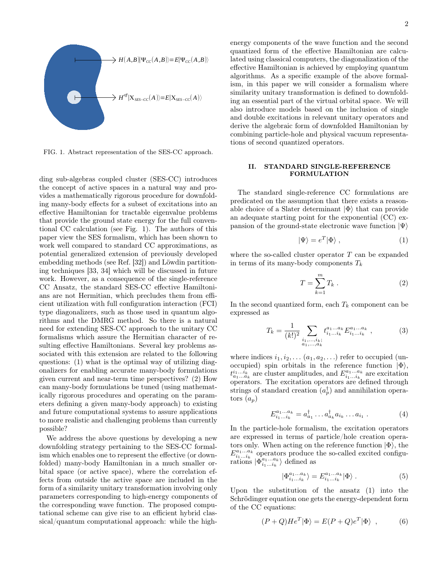

FIG. 1. Abstract representation of the SES-CC approach.

ding sub-algebras coupled cluster (SES-CC) introduces the concept of active spaces in a natural way and provides a mathematically rigorous procedure for downfolding many-body effects for a subset of excitations into an effective Hamiltonian for tractable eigenvalue problems that provide the ground state energy for the full conventional CC calculation (see Fig. 1). The authors of this paper view the SES formalism, which has been shown to work well compared to standard CC approximations, as potential generalized extension of previously developed embedding methods (see Ref. [32]) and Löwdin partitioning techniques [33, 34] which will be discussed in future work. However, as a consequence of the single-reference CC Ansatz, the standard SES-CC effective Hamiltonians are not Hermitian, which precludes them from efficient utilization with full configuration interaction (FCI) type diagonalizers, such as those used in quantum algorithms and the DMRG method. So there is a natural need for extending SES-CC approach to the unitary CC formalisms which assure the Hermitian character of resulting effective Hamiltonians. Several key problems associated with this extension are related to the following questions: (1) what is the optimal way of utilizing diagonalizers for enabling accurate many-body formulations given current and near-term time perspectives? (2) How can many-body formulations be tuned (using mathematically rigorous procedures and operating on the parameters defining a given many-body approach) to existing and future computational systems to assure applications to more realistic and challenging problems than currently possible?

We address the above questions by developing a new downfolding strategy pertaining to the SES-CC formalism which enables one to represent the effective (or downfolded) many-body Hamiltonian in a much smaller orbital space (or active space), where the correlation effects from outside the active space are included in the form of a similarity unitary transformation involving only parameters corresponding to high-energy components of the corresponding wave function. The proposed computational scheme can give rise to an efficient hybrid classical/quantum computational approach: while the highenergy components of the wave function and the second quantized form of the effective Hamiltonian are calculated using classical computers, the diagonalization of the effective Hamiltonian is achieved by employing quantum algorithms. As a specific example of the above formalism, in this paper we will consider a formalism where similarity unitary transformation is defined to downfolding an essential part of the virtual orbital space. We will also introduce models based on the inclusion of single and double excitations in relevant unitary operators and derive the algebraic form of downfolded Hamiltonian by combining particle-hole and physical vacuum representations of second quantized operators.

# II. STANDARD SINGLE-REFERENCE FORMULATION

The standard single-reference CC formulations are predicated on the assumption that there exists a reasonable choice of a Slater determinant  $|\Phi\rangle$  that can provide an adequate starting point for the exponential (CC) expansion of the ground-state electronic wave function  $|\Psi\rangle$ 

$$
|\Psi\rangle = e^T |\Phi\rangle \,, \tag{1}
$$

where the so-called cluster operator  $T$  can be expanded in terms of its many-body components  $T_k$ 

$$
T = \sum_{k=1}^{m} T_k \tag{2}
$$

In the second quantized form, each  $T_k$  component can be expressed as

$$
T_k = \frac{1}{(k!)^2} \sum_{\substack{i_1,\ldots,i_k;\\a_1,\ldots,a_k}} t^{a_1\ldots a_k}_{i_1\ldots i_k} E^{a_1\ldots a_k}_{i_1\ldots i_k} , \qquad (3)
$$

where indices  $i_1, i_2, \ldots (a_1, a_2, \ldots)$  refer to occupied (unoccupied) spin orbitals in the reference function  $|\Phi\rangle$ ,  $t^{i_1...i_k}_{a_1...a_k}$  are cluster amplitudes, and  $E^{a_1...a_k}_{i_1...i_k}$  are excitation operators. The excitation operators are defined through strings of standard creation  $(a_p^{\dagger})$  and annihilation operators  $(a_n)$ 

$$
E^{a_1...a_k}_{i_1...i_k} = a_{a_1}^{\dagger} \dots a_{a_k}^{\dagger} a_{i_k} \dots a_{i_1} . \tag{4}
$$

In the particle-hole formalism, the excitation operators are expressed in terms of particle/hole creation operators only. When acting on the reference function  $|\Phi\rangle$ , the  $E^{a_1...a_k}_{i_1...i_k}$  operators produce the so-called excited configurations  $|\Phi^{a_1...a_k}_{i_1...i_k}\rangle$  defined as

$$
|\Phi_{i_1...i_k}^{a_1...a_k}\rangle = E_{i_1...i_k}^{a_1...a_k}|\Phi\rangle . \qquad (5)
$$

Upon the substitution of the ansatz (1) into the Schrödinger equation one gets the energy-dependent form of the CC equations:

$$
(P+Q)He^{T}|\Phi\rangle = E(P+Q)e^{T}|\Phi\rangle , \qquad (6)
$$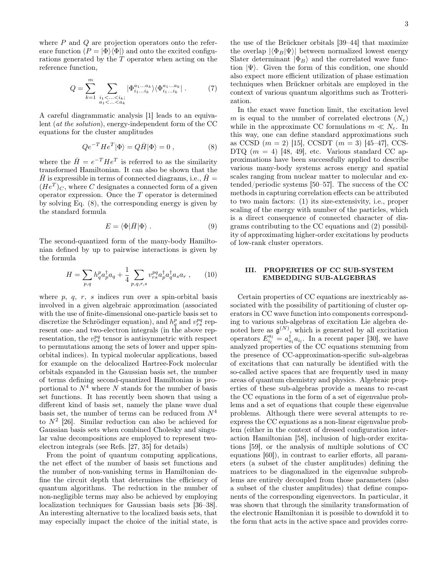where  $P$  and  $Q$  are projection operators onto the reference function  $(P = |\Phi\rangle\langle\Phi|)$  and onto the excited configurations generated by the T operator when acting on the reference function,

$$
Q = \sum_{k=1}^{m} \sum_{\substack{i_1 < \ldots < i_k; \\ a_1 < \ldots < a_k}} |\Phi_{i_1 \ldots i_k}^{a_1 \ldots a_k} \rangle \langle \Phi_{i_1 \ldots i_k}^{a_1 \ldots a_k} | . \tag{7}
$$

A careful diagrammatic analysis [1] leads to an equivalent (at the solution), energy-independent form of the CC equations for the cluster amplitudes

$$
Qe^{-T}He^{T}|\Phi\rangle = Q\bar{H}|\Phi\rangle = 0 , \qquad (8)
$$

where the  $\bar{H} = e^{-T} H e^{T}$  is referred to as the similarity transformed Hamiltonian. It can also be shown that the  $H$  is expressible in terms of connected diagrams, i.e.,  $H =$  $(He^T)_C$ , where C designates a connected form of a given operator expression. Once the  $T$  operator is determined by solving Eq. (8), the corresponding energy is given by the standard formula

$$
E = \langle \Phi | \bar{H} | \Phi \rangle . \tag{9}
$$

The second-quantized form of the many-body Hamiltonian defined by up to pairwise interactions is given by the formula

$$
H = \sum_{p,q} h_q^p a_p^{\dagger} a_q + \frac{1}{4} \sum_{p,q,r,s} v_{rs}^{pq} a_p^{\dagger} a_q^{\dagger} a_s a_r , \qquad (10)
$$

where  $p, q, r, s$  indices run over a spin-orbital basis involved in a given algebraic approximation (associated with the use of finite-dimensional one-particle basis set to discretize the Schrödinger equation), and  $h_q^p$  and  $v_{rs}^{pq}$  represent one- and two-electron integrals (in the above representation, the  $v_{rs}^{pq}$  tensor is antisymmetric with respect to permutations among the sets of lower and upper spinorbital indices). In typical molecular applications, based for example on the delocalized Hartree-Fock molecular orbitals expanded in the Gaussian basis set, the number of terms defining second-quantized Hamiltonian is proportional to  $N^4$  where N stands for the number of basis set functions. It has recently been shown that using a different kind of basis set, namely the plane wave dual basis set, the number of terms can be reduced from  $N^4$ to  $N^2$  [26]. Similar reduction can also be achieved for Gaussian basis sets when combined Cholesky and singular value decompositions are employed to represent twoelectron integrals (see Refs. [27, 35] for details)

From the point of quantum computing applications, the net effect of the number of basis set functions and the number of non-vanishing terms in Hamiltonian define the circuit depth that determines the efficiency of quantum algorithms. The reduction in the number of non-negligible terms may also be achieved by employing localization techniques for Gaussian basis sets [36–38]. An interesting alternative to the localized basis sets, that may especially impact the choice of the initial state, is

the use of the Brückner orbitals [39–44] that maximize the overlap  $|\langle \Phi_B | \Psi \rangle|$  between normalized lowest energy Slater determinant  $|\Phi_B\rangle$  and the correlated wave function  $|\Psi\rangle$ . Given the form of this condition, one should also expect more efficient utilization of phase estimation techniques when Brückner orbitals are employed in the context of various quantum algorithms such as Trotterization.

In the exact wave function limit, the excitation level m is equal to the number of correlated electrons  $(N_e)$ while in the approximate CC formulations  $m \ll N_e$ . In this way, one can define standard approximations such as CCSD  $(m = 2)$  [15], CCSDT  $(m = 3)$  [45–47], CCS-DTQ  $(m = 4)$  [48, 49], etc. Various standard CC approximations have been successfully applied to describe various many-body systems across energy and spatial scales ranging from nuclear matter to molecular and extended/periodic systems [50–57]. The success of the CC methods in capturing correlation effects can be attributed to two main factors: (1) its size-extensivity, i.e., proper scaling of the energy with number of the particles, which is a direct consequence of connected character of diagrams contributing to the CC equations and (2) possibility of approximating higher-order excitations by products of low-rank cluster operators.

## III. PROPERTIES OF CC SUB-SYSTEM EMBEDDING SUB-ALGEBRAS

Certain properties of CC equations are inextricably associated with the possibility of partitioning of cluster operators in CC wave function into components corresponding to various sub-algebras of excitation Lie algebra denoted here as  $\mathfrak{g}^{(N)}$ , which is generated by all excitation operators  $E_{i_l}^{a_l} = a_{a_l}^{\dagger} a_{i_l}$ . In a recent paper [30], we have analyzed properties of the CC equations stemming from the presence of CC-approximation-specific sub-algebras of excitations that can naturally be identified with the so-called active spaces that are frequently used in many areas of quantum chemistry and physics. Algebraic properties of these sub-algebras provide a means to re-cast the CC equations in the form of a set of eigenvalue problems and a set of equations that couple these eigenvalue problems. Although there were several attempts to reexpress the CC equations as a non-linear eigenvalue problem (either in the context of dressed configuration interaction Hamiltonian [58], inclusion of high-order excitations [59], or the analysis of multiple solutions of CC equations [60]), in contrast to earlier efforts, all parameters (a subset of the cluster amplitudes) defining the matrices to be diagonalized in the eigenvalue subproblems are entirely decoupled from those parameters (also a subset of the cluster amplitudes) that define components of the corresponding eigenvectors. In particular, it was shown that through the similarity transformation of the electronic Hamiltonian it is possible to downfold it to the form that acts in the active space and provides corre-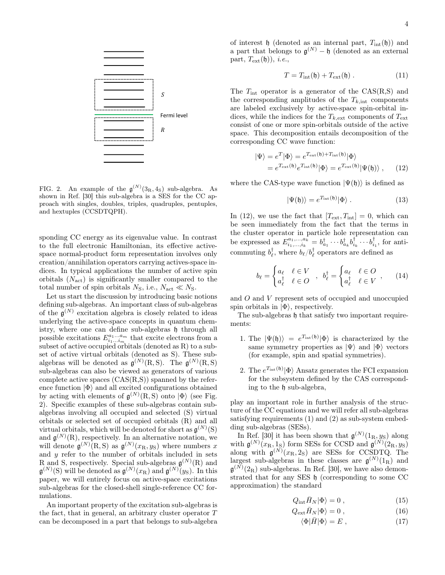

FIG. 2. An example of the  $\mathfrak{g}^{(N)}(3_R, 4_S)$  sub-algebra. As shown in Ref. [30] this sub-algebra is a SES for the CC approach with singles, doubles, triples, quadruples, pentuples, and hextuples (CCSDTQPH).

sponding CC energy as its eigenvalue value. In contrast to the full electronic Hamiltonian, its effective activespace normal-product form representation involves only creation/annihilation operators carrying actives-space indices. In typical applications the number of active spin orbitals  $(N<sub>act</sub>)$  is significantly smaller compared to the total number of spin orbitals  $N<sub>S</sub>$ , i.e.,  $N<sub>act</sub> \ll N<sub>S</sub>$ .

Let us start the discussion by introducing basic notions defining sub-algebras. An important class of sub-algebras of the  $\mathfrak{g}^{(N)}$  excitation algebra is closely related to ideas underlying the active-space concepts in quantum chemistry, where one can define sub-algebras  $\mathfrak h$  through all possible excitations  $E^{a_1...a_m}_{i_1...i_m}$  that excite electrons from a subset of active occupied orbitals (denoted as R) to a subset of active virtual orbitals (denoted as S). These subalgebras will be denoted as  $\mathfrak{g}^{(N)}(\mathbf{R},\mathbf{S})$ . The  $\mathfrak{g}^{(N)}(\mathbf{R},\mathbf{S})$ sub-algebras can also be viewed as generators of various complete active spaces  $(CAS(R,S))$  spanned by the reference function  $|\Phi\rangle$  and all excited configurations obtained by acting with elements of  $\mathfrak{g}^{(N)}(\mathbf{R},\mathbf{S})$  onto  $|\Phi\rangle$  (see Fig. 2). Specific examples of these sub-algebras contain subalgebras involving all occupied and selected (S) virtual orbitals or selected set of occupied orbitals (R) and all virtual orbitals, which will be denoted for short as  $\mathfrak{g}^{(N)}(\mathrm{S})$ and  $\mathfrak{g}^{(N)}(\mathbf{R})$ , respectively. In an alternative notation, we will denote  $\mathfrak{g}^{(N)}(R,S)$  as  $\mathfrak{g}^{(N)}(x_R, y_S)$  where numbers x and  $y$  refer to the number of orbitals included in sets R and S, respectively. Special sub-algebras  $\mathfrak{g}^{(N)}(\mathbf{R})$  and  $\mathfrak{g}^{(N)}(\mathrm{S})$  will be denoted as  $\mathfrak{g}^{(N)}(x_{\mathrm{R}})$  and  $\mathfrak{g}^{(N)}(y_{\mathrm{S}})$ . In this paper, we will entirely focus on active-space excitations sub-algebras for the closed-shell single-reference CC formulations.

An important property of the excitation sub-algebras is the fact, that in general, an arbitrary cluster operator T can be decomposed in a part that belongs to sub-algebra 4

of interest  $\mathfrak h$  (denoted as an internal part,  $T_{\text{int}}(\mathfrak h)$ ) and a part that belongs to  $\mathfrak{g}^{(N)} - \mathfrak{h}$  (denoted as an external part,  $T_{\text{ext}}(\mathfrak{h})$ ), *i.e.*,

$$
T = T_{\text{int}}(\mathfrak{h}) + T_{\text{ext}}(\mathfrak{h}) \,. \tag{11}
$$

The  $T_{\text{int}}$  operator is a generator of the CAS(R,S) and the corresponding amplitudes of the  $T_{k, \text{int}}$  components are labeled exclusively by active-space spin-orbital indices, while the indices for the  $T_{k,ext}$  components of  $T_{ext}$ consist of one or more spin-orbitals outside of the active space. This decomposition entails decomposition of the corresponding CC wave function:

$$
\begin{aligned} |\Psi\rangle &= e^T |\Phi\rangle = e^{T_{\text{ext}}(\mathfrak{h}) + T_{\text{int}}(\mathfrak{h})} |\Phi\rangle \\ &= e^{T_{\text{ext}}(\mathfrak{h})} e^{T_{\text{int}}(\mathfrak{h})} |\Phi\rangle = e^{T_{\text{ext}}(\mathfrak{h})} |\Psi(\mathfrak{h})\rangle \;, \end{aligned} \tag{12}
$$

where the CAS-type wave function  $|\Psi(\mathfrak{h})\rangle$  is defined as

$$
|\Psi(\mathfrak{h})\rangle = e^{T_{\text{int}}(\mathfrak{h})}|\Phi\rangle . \tag{13}
$$

In (12), we use the fact that  $[T_{\text{ext}}, T_{\text{int}}] = 0$ , which can be seen immediately from the fact that the terms in the cluster operator in particle hole representation can be expressed as  $E_{i_1,...,i_k}^{a_1,...,a_k} = b_{a_1}^{\dagger} \cdots b_{a_k}^{\dagger} b_{i_k}^{\dagger} \cdots b_{i_1}^{\dagger}$ , for anticommuting  $b_{\ell}^{\dagger}$ , where  $b_{\ell}/b_{\ell}^{\dagger}$  operators are defined as

$$
b_{\ell} = \begin{cases} a_{\ell} & \ell \in V \\ a_{\ell}^{\dagger} & \ell \in O \end{cases}, \quad b_{\ell}^{\dagger} = \begin{cases} a_{\ell} & \ell \in O \\ a_{\ell}^{\dagger} & \ell \in V \end{cases}, \tag{14}
$$

and O and V represent sets of occupied and unoccupied spin orbitals in  $|\Phi\rangle$ , respectively.

The sub-algebras  $\mathfrak h$  that satisfy two important requirements:

- 1. The  $|\Psi(\mathfrak{h})\rangle = e^{T_{\text{int}}(\mathfrak{h})}|\Phi\rangle$  is characterized by the same symmetry properties as  $|\Psi\rangle$  and  $|\Phi\rangle$  vectors (for example, spin and spatial symmetries).
- 2. The  $e^{T_{\text{int}}(\mathfrak{h})}|\Phi\rangle$  Ansatz generates the FCI expansion for the subsystem defined by the CAS corresponding to the h sub-algebra,

play an important role in further analysis of the structure of the CC equations and we will refer all sub-algebras satisfying requirements (1) and (2) as sub-system embedding sub-algebras (SESs).

In Ref. [30] it has been shown that  $\mathfrak{g}^{(N)}(1_R, y_S)$  along with  $\mathfrak{g}^{(N)}(x_{\text{R}}, 1_{\text{S}})$  form SESs for CCSD and  $\mathfrak{g}^{(N)}(2_{\text{R}}, y_{\text{S}})$ along with  $\mathfrak{g}^{(N)}(x_{\mathsf{R}}, 2_{\mathsf{S}})$  are SESs for CCSDTQ. The largest sub-algebras in these classes are  $\mathfrak{g}^{(N)}(1_R)$  and  $\mathfrak{g}^{(N)}(2_{\rm R})$  sub-algebras. In Ref. [30], we have also demonstrated that for any SES h (corresponding to some CC approximation) the standard

$$
Q_{\rm int}\bar{H}_N|\Phi\rangle = 0\ ,\qquad (15)
$$

$$
Q_{\text{ext}}\bar{H}_N|\Phi\rangle = 0\,,\tag{16}
$$

$$
\langle \Phi | \bar{H} | \Phi \rangle = E , \qquad (17)
$$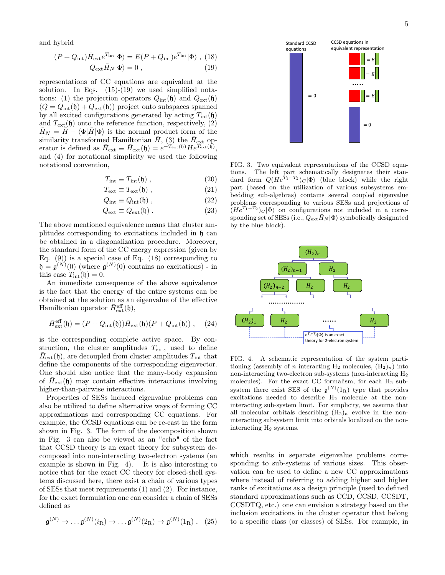and hybrid

$$
(P + Q_{\rm int})\bar{H}_{\rm ext}e^{T_{\rm int}}|\Phi\rangle = E(P + Q_{\rm int})e^{T_{\rm int}}|\Phi\rangle \ , \ (18)
$$

$$
Q_{\text{ext}}\bar{H}_N|\Phi\rangle = 0\,,\tag{19}
$$

representations of CC equations are equivalent at the solution. In Eqs.  $(15)-(19)$  we used simplified notations: (1) the projection operators  $Q_{\text{int}}(\mathfrak{h})$  and  $Q_{\text{ext}}(\mathfrak{h})$  $(Q = Q_{\text{int}}(\mathfrak{h}) + Q_{\text{ext}}(\mathfrak{h}))$  project onto subspaces spanned by all excited configurations generated by acting  $T_{\text{int}}(\mathfrak{h})$ and  $T_{\text{ext}}(\mathfrak{h})$  onto the reference function, respectively, (2)  $H_N = H - \langle \Phi | H | \Phi \rangle$  is the normal product form of the similarity transformed Hamiltonian  $\overline{H}$ , (3) the  $\overline{H}_{ext}$  operator is defined as  $\bar{H}_{ext} \equiv \bar{H}_{ext}(\mathfrak{h}) = e^{-T_{ext}(\mathfrak{h})} H e^{\overline{T}_{ext}(\mathfrak{h})}$ , and (4) for notational simplicity we used the following notational convention,

$$
T_{\rm int} \equiv T_{\rm int}(\mathfrak{h})\,,\tag{20}
$$

$$
T_{\text{ext}} \equiv T_{\text{ext}}(\mathfrak{h}) \,, \tag{21}
$$

$$
Q_{\rm int} \equiv Q_{\rm int}(\mathfrak{h}) \;, \tag{22}
$$

$$
Q_{\text{ext}} \equiv Q_{\text{ext}}(\mathfrak{h})\,. \tag{23}
$$

The above mentioned equivalence means that cluster amplitudes corresponding to excitations included in h can be obtained in a diagonalization procedure. Moreover, the standard form of the CC energy expression (given by Eq.  $(9)$  is a special case of Eq.  $(18)$  corresponding to  $\mathfrak{h} = \mathfrak{g}^{(N)}(0)$  (where  $\mathfrak{g}^{(N)}(0)$  contains no excitations) - in this case  $T_{\text{int}}(\mathfrak{h})=0$ .

An immediate consequence of the above equivalence is the fact that the energy of the entire systems can be obtained at the solution as an eigenvalue of the effective Hamiltonian operator  $\bar{H}^{\text{eff}}_{\text{ext}}(\mathfrak{h}),$ 

$$
\bar{H}_{\text{ext}}^{\text{eff}}(\mathfrak{h}) = (P + Q_{\text{int}}(\mathfrak{h})) \bar{H}_{\text{ext}}(\mathfrak{h})(P + Q_{\text{int}}(\mathfrak{h})) , \quad (24)
$$

is the corresponding complete active space. By construction, the cluster amplitudes  $T_{\text{ext}}$ , used to define  $\bar{H}_{ext}(\mathfrak{h})$ , are decoupled from cluster amplitudes  $T_{int}$  that define the components of the corresponding eigenvector. One should also notice that the many-body expansion of  $\bar{H}_{ext}(\mathfrak{h})$  may contain effective interactions involving higher-than-pairwise interactions.

Properties of SESs induced eigenvalue problems can also be utilized to define alternative ways of forming CC approximations and corresponding CC equations. For example, the CCSD equations can be re-cast in the form shown in Fig. 3. The form of the decomposition shown in Fig. 3 can also be viewed as an "echo" of the fact that CCSD theory is an exact theory for subsystem decomposed into non-interacting two-electron systems (an example is shown in Fig. 4). It is also interesting to notice that for the exact CC theory for closed-shell systems discussed here, there exist a chain of various types of SESs that meet requirements (1) and (2). For instance, for the exact formulation one can consider a chain of SESs defined as

$$
\mathfrak{g}^{(N)} \to \dots \mathfrak{g}^{(N)}(i_{\mathcal{R}}) \to \dots \mathfrak{g}^{(N)}(2_{\mathcal{R}}) \to \mathfrak{g}^{(N)}(1_{\mathcal{R}}), \quad (25)
$$



FIG. 3. Two equivalent representations of the CCSD equations. The left part schematically designates their standard form  $Q(He^{T_1+T_2})_C|\Phi\rangle$  (blue block) while the right part (based on the utilization of various subsystems embedding sub-algebras) contains several coupled eigenvalue problems corresponding to various SESs and projections of  $(He^{T_1+T_2})_C |\Phi\rangle$  on configurations not included in a corresponding set of SESs (i.e.,  $Q_{ext}H_N|\Phi\rangle$  symbolically designated by the blue block).



FIG. 4. A schematic representation of the system partitioning (assembly of *n* interacting  $H_2$  molecules,  $(H_2)_n$ ) into non-interacting two-electron sub-systems (non-interacting  $H_2$ ) molecules). For the exact CC formalism, for each  $H_2$  subsystem there exist SES of the  $\mathfrak{g}^{(N)}(1_R)$  type that provides excitations needed to describe H<sup>2</sup> molecule at the noninteracting sub-system limit. For simplicity, we assume that all molecular orbitals describing  $(H_2)_n$  evolve in the noninteracting subsystem limit into orbitals localized on the noninteracting H<sup>2</sup> systems.

which results in separate eigenvalue problems corresponding to sub-systems of various sizes. This observation can be used to define a new CC approximations where instead of referring to adding higher and higher ranks of excitations as a design principle (used to defined standard approximations such as CCD, CCSD, CCSDT, CCSDTQ, etc.) one can envision a strategy based on the inclusion excitations in the cluster operator that belong to a specific class (or classes) of SESs. For example, in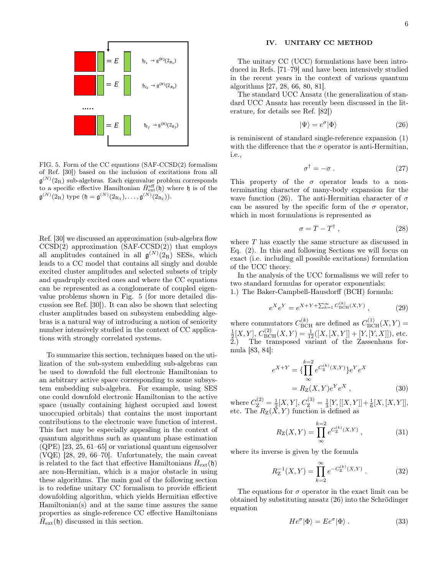

FIG. 5. Form of the CC equations (SAF-CCSD(2) formalism of Ref. [30]) based on the inclusion of excitations from all  $\mathfrak{g}^{(N)}(2_{\rm R})$  sub-algebras. Each eigenvalue problem corresponds to a specific effective Hamiltonian  $\bar{H}^{\text{eff}}_{\text{ext}}(\mathfrak{h})$  where h is of the  $\mathfrak{g}^{(N)}(2_{\rm R})$  type  $(\mathfrak{h} = \mathfrak{g}^{(N)}(2_{\rm R_1}), \ldots, \mathfrak{g}^{(N)}(2_{\rm R_f})).$ 

Ref. [30] we discussed an approximation (sub-algebra flow  $CCSD(2)$  approximation  $(SAF-CCSD(2))$  that employs all amplitudes contained in all  $\mathfrak{g}^{(N)}(2_R)$  SESs, which leads to a CC model that contains all singly and double excited cluster amplitudes and selected subsets of triply and quadruply excited ones and where the CC equations can be represented as a conglomerate of coupled eigenvalue problems shown in Fig. 5 (for more detailed discussion see Ref. [30]). It can also be shown that selecting cluster amplitudes based on subsystem embedding algebras is a natural way of introducing a notion of seniority number intensively studied in the context of CC applications with strongly correlated systems.

To summarize this section, techniques based on the utilization of the sub-system embedding sub-algebras can be used to downfold the full electronic Hamiltonian to an arbitrary active space corresponding to some subsystem embedding sub-algebra. For example, using SES one could downfold electronic Hamiltonian to the active space (usually containing highest occupied and lowest unoccupied orbitals) that contains the most important contributions to the electronic wave function of interest. This fact may be especially appealing in the context of quantum algorithms such as quantum phase estimation (QPE) [23, 25, 61–65] or variational quantum eigensolver (VQE) [28, 29, 66–70]. Unfortunately, the main caveat is related to the fact that effective Hamiltonians  $\bar{H}_{ext}(\mathfrak{h})$ are non-Hermitian, which is a major obstacle in using these algorithms. The main goal of the following section is to redefine unitary CC formalism to provide efficient downfolding algorithm, which yields Hermitian effective Hamiltonian(s) and at the same time assures the same properties as single-reference CC effective Hamiltonians  $\overline{H}_{ext}(\mathfrak{h})$  discussed in this section.

# IV. UNITARY CC METHOD

The unitary CC (UCC) formulations have been introduced in Refs. [71–79] and have been intensively studied in the recent years in the context of various quantum algorithms [27, 28, 66, 80, 81].

The standard UCC Ansatz (the generalization of standard UCC Ansatz has recently been discussed in the literature, for details see Ref. [82])

$$
|\Psi\rangle = e^{\sigma}|\Phi\rangle \tag{26}
$$

is reminiscent of standard single-reference expansion (1) with the difference that the  $\sigma$  operator is anti-Hermitian, i.e.,

$$
\sigma^{\dagger} = -\sigma \ . \tag{27}
$$

This property of the  $\sigma$  operator leads to a nonterminating character of many-body expansion for the wave function (26). The anti-Hermitian character of  $\sigma$ can be assured by the specific form of the  $\sigma$  operator, which in most formulations is represented as

$$
\sigma = T - T^{\dagger} \tag{28}
$$

where  $T$  has exactly the same structure as discussed in Eq. (2). In this and following Sections we will focus on exact (i.e. including all possible excitations) formulation of the UCC theory.

In the analysis of the UCC formalisms we will refer to two standard formulas for operator exponentials:

1.) The Baker-Campbell-Hausdorff (BCH) formula:

$$
e^{X}e^{Y} = e^{X+Y+\sum_{k=1}^{\infty} C_{\text{BCH}}^{(k)}(X,Y)}, \qquad (29)
$$

where commutators  $C_{\text{BCH}}^{(k)}$  are defined as  $C_{\text{BCH}}^{(1)}(X,Y) = \frac{1}{2}[X,Y], C_{\text{BCH}}^{(2)}(X,Y) = \frac{1}{12}([X,[X,Y]] + [Y,[Y,X]]),$  etc. 2.) The transposed variant of the Zassenhaus formula [83, 84]:

$$
e^{X+Y} = \{\prod_{\infty}^{k=2} e^{C_{\mathbf{Z}}^{(k)}(X,Y)}\} e^{Y} e^{X}
$$

$$
= R_{\mathbf{Z}}(X,Y) e^{Y} e^{X}, \qquad (30)
$$

where  $C_{\mathbf{Z}}^{(2)} = \frac{1}{2}[X, Y], C_{\mathbf{Z}}^{(3)} = \frac{1}{3}[Y, [[X, Y]] + \frac{1}{6}[X, [X, Y]],$ etc. The  $R_Z(X, Y)$  function is defined as

$$
R_{\mathcal{Z}}(X,Y) = \prod_{\infty}^{k=2} e^{C_{\mathcal{Z}}^{(k)}(X,Y)}, \qquad (31)
$$

where its inverse is given by the formula

$$
R_Z^{-1}(X,Y) = \prod_{k=2}^{\infty} e^{-C_Z^{(k)}(X,Y)}.
$$
 (32)

The equations for  $\sigma$  operator in the exact limit can be obtained by substituting ansatz (26) into the Schrödinger equation

$$
He^{\sigma}|\Phi\rangle = Ee^{\sigma}|\Phi\rangle . \tag{33}
$$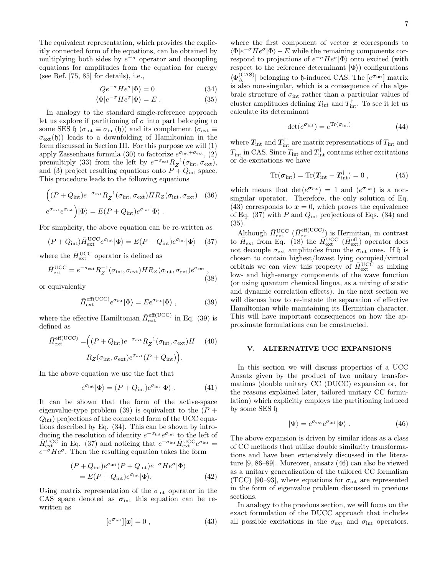The equivalent representation, which provides the explicitly connected form of the equations, can be obtained by multiplying both sides by  $e^{-\sigma}$  operator and decoupling equations for amplitudes from the equation for energy (see Ref. [75, 85] for details), i.e.,

$$
Qe^{-\sigma}He^{\sigma}|\Phi\rangle = 0\tag{34}
$$

$$
\langle \Phi | e^{-\sigma} H e^{\sigma} | \Phi \rangle = E . \tag{35}
$$

In analogy to the standard single-reference approach let us explore if partitioning of  $\sigma$  into part belonging to some SES  $\mathfrak{h}$  ( $\sigma_{\text{int}} \equiv \sigma_{\text{int}}(\mathfrak{h})$ ) and its complement ( $\sigma_{\text{ext}} \equiv$  $\sigma_{\rm ext}(\mathfrak{h})$  leads to a downfolding of Hamiltonian in the form discussed in Section III. For this purpose we will (1) apply Zassenhaus formula (30) to factorize  $e^{\sigma_{int} + \sigma_{ext}},$  (2) premultiply (33) from the left by  $e^{-\sigma_{\text{ext}}} R_Z^{-1}(\sigma_{\text{int}}, \sigma_{\text{ext}})$ , and (3) project resulting equations onto  $P + Q_{\text{int}}$  space. This procedure leads to the following equations

$$
\left( (P + Q_{\rm int})e^{-\sigma_{\rm ext}} R_Z^{-1}(\sigma_{\rm int}, \sigma_{\rm ext})HR_Z(\sigma_{\rm int}, \sigma_{\rm ext}) \quad (36)
$$
  

$$
e^{\sigma_{\rm ext}} e^{\sigma_{\rm int}} \right) |\Phi\rangle = E(P + Q_{\rm int}) e^{\sigma_{\rm int}} |\Phi\rangle.
$$

For simplicity, the above equation can be re-written as

$$
(P + Q_{\rm int})\bar{H}_{\rm ext}^{\rm UCC}e^{\sigma_{\rm int}}|\Phi\rangle = E(P + Q_{\rm int})e^{\sigma_{\rm int}}|\Phi\rangle \quad (37)
$$

where the  $\bar{H}_{\rm ext}^{\rm UCC}$  operator is defined as

$$
\bar{H}_{\text{ext}}^{\text{UCC}} = e^{-\sigma_{\text{ext}}} R_Z^{-1}(\sigma_{\text{int}}, \sigma_{\text{ext}}) H R_Z(\sigma_{\text{int}}, \sigma_{\text{ext}}) e^{\sigma_{\text{ext}}},
$$
\n(38)

or equivalently

$$
\bar{H}_{\text{ext}}^{\text{eff(UCC)}} e^{\sigma_{\text{int}}} |\Phi\rangle = E e^{\sigma_{\text{int}}} |\Phi\rangle , \qquad (39)
$$

where the effective Hamiltonian  $\bar{H}^{\text{eff}(UCC)}_{ext}$  in Eq. (39) is defined as

$$
\bar{H}_{\text{ext}}^{\text{eff(UCC)}} = ((P + Q_{\text{int}})e^{-\sigma_{\text{ext}}}R_Z^{-1}(\sigma_{\text{int}}, \sigma_{\text{ext}})H \qquad (40)
$$

$$
R_Z(\sigma_{\text{int}}, \sigma_{\text{ext}})e^{\sigma_{\text{ext}}} (P + Q_{\text{int}})).
$$

In the above equation we use the fact that

$$
e^{\sigma_{\rm int}} |\Phi\rangle = (P + Q_{\rm int}) e^{\sigma_{\rm int}} |\Phi\rangle . \tag{41}
$$

It can be shown that the form of the active-space eigenvalue-type problem (39) is equivalent to the  $(P +$  $Q_{\text{int}}$ ) projections of the connected form of the UCC equations described by Eq. (34). This can be shown by introducing the resolution of identity  $e^{-\sigma_{int}}e^{\sigma_{int}}$  to the left of  $\bar{H}_{\text{ext}}^{\text{UCC}}$  in Eq. (37) and noticing that  $e^{-\sigma_{\text{int}}} \bar{H}_{\text{ext}}^{\text{UCC}} e^{\sigma_{\text{int}}} =$  $e^{-\sigma}He^{\sigma}$ . Then the resulting equation takes the form

$$
(P + Q_{\rm int})e^{\sigma_{\rm int}}(P + Q_{\rm int})e^{-\sigma}He^{\sigma}|\Phi\rangle
$$
  
=  $E(P + Q_{\rm int})e^{\sigma_{\rm int}}|\Phi\rangle$ . (42)

Using matrix representation of the  $\sigma_{\text{int}}$  operator in the CAS space denoted as  $\sigma_{\text{int}}$  this equation can be rewritten as

$$
[e^{\sigma_{\rm int}}][x] = 0 , \qquad (43)
$$

where the first component of vector  $x$  corresponds to  $\langle \Phi | e^{-\sigma} H e^{\sigma} | \Phi \rangle - E$  while the remaining components correspond to projections of  $e^{-\sigma}He^{\sigma}|\Phi\rangle$  onto excited (with respect to the reference determinant  $|\Phi\rangle$  configurations  $\langle \Phi_{\Delta}^{\mathrm{(CAS)}} |$  belonging to h-induced CAS. The  $[e^{\sigma_{\rm int}}]$  matrix is also non-singular, which is a consequence of the algebraic structure of  $\sigma_{\text{int}}$  rather than a particular values of cluster amplitudes defining  $T_{\text{int}}$  and  $T_{\text{int}}^{\dagger}$ . To see it let us calculate its determinant

$$
\det(e^{\sigma_{\rm int}}) = e^{\text{Tr}(\sigma_{\rm int})}
$$
\n(44)

where  $T_{\textrm{int}}$  and  $T_{\textrm{int}}^{\dagger}$  are matrix representations of  $T_{\textrm{int}}$  and  $T_{\textrm{int}}^{\dagger}$  in CAS. Since  $T_{\textrm{int}}$  and  $T_{\textrm{int}}^{\dagger}$  contains either excitations or de-excitations we have

$$
\text{Tr}(\boldsymbol{\sigma}_{\text{int}}) = \text{Tr}(\boldsymbol{T}_{\text{int}} - \boldsymbol{T}_{\text{int}}^{\dagger}) = 0 , \qquad (45)
$$

which means that  $\det(e^{\sigma_{int}}) = 1$  and  $(e^{\sigma_{int}})$  is a nonsingular operator. Therefore, the only solution of Eq. (43) corresponds to  $x = 0$ , which proves the equivalence of Eq.  $(37)$  with P and  $Q_{\text{int}}$  projections of Eqs.  $(34)$  and (35).

Although  $\bar{H}_{\text{ext}}^{\text{UCC}}$  ( $\bar{H}_{\text{ext}}^{\text{eff(UCC)}}$ ) is Hermitian, in contrast to  $\bar{H}_{ext}$  from Eq. (18) the  $\bar{H}_{ext}^{UCC}$  ( $\bar{H}_{ext}^{eff}$ ) operator does not decouple  $\sigma_{\text{ext}}$  amplitudes from the  $\sigma_{\text{int}}$  ones. If h is chosen to contain highest/lowest lying occupied/virtual orbitals we can view this property of  $\overline{H}_{\text{ext}}^{\text{UCC}}$  as mixing low- and high-energy components of the wave function (or using quantum chemical lingua, as a mixing of static and dynamic correlation effects). In the next section we will discuss how to re-instate the separation of effective Hamiltonian while maintaining its Hermitian character. This will have important consequences on how the approximate formulations can be constructed.

#### V. ALTERNATIVE UCC EXPANSIONS

In this section we will discuss properties of a UCC Ansatz given by the product of two unitary transformations (double unitary CC (DUCC) expansion or, for the reasons explained later, tailored unitary CC formulation) which explicitly employs the partitioning induced by some SES h

$$
|\Psi\rangle = e^{\sigma_{\text{ext}}} e^{\sigma_{\text{int}}} |\Phi\rangle . \tag{46}
$$

The above expansion is driven by similar ideas as a class of CC methods that utilize double similarity transformations and have been extensively discussed in the literature [9, 86–89]. Moreover, ansatz (46) can also be viewed as a unitary generalization of the tailored CC formalism (TCC) [90–93], where equations for  $\sigma_{\text{int}}$  are represented in the form of eigenvalue problem discussed in previous sections.

In analogy to the previous section, we will focus on the exact formulation of the DUCC approach that includes all possible excitations in the  $\sigma_{\text{ext}}$  and  $\sigma_{\text{int}}$  operators.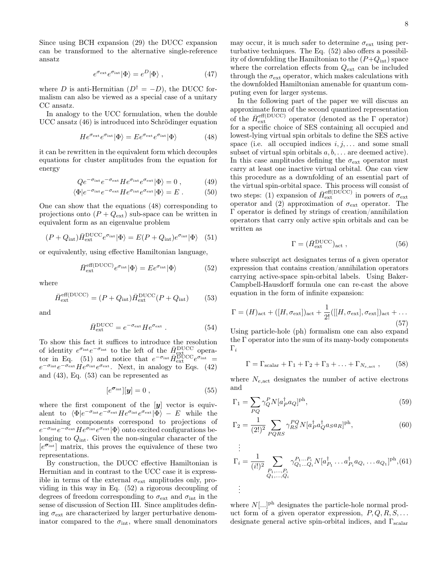8

Since using BCH expansion (29) the DUCC expansion can be transformed to the alternative single-reference ansatz

$$
e^{\sigma_{\text{ext}}}e^{\sigma_{\text{int}}}|\Phi\rangle = e^D|\Phi\rangle ,\qquad (47)
$$

where D is anti-Hermitian  $(D^{\dagger} = -D)$ , the DUCC formalism can also be viewed as a special case of a unitary CC ansatz.

In analogy to the UCC formulation, when the double UCC ansatz (46) is introduced into Schrödinger equation

$$
He^{\sigma_{\rm ext}}e^{\sigma_{\rm int}}|\Phi\rangle = E e^{\sigma_{\rm ext}}e^{\sigma_{\rm int}}|\Phi\rangle \tag{48}
$$

it can be rewritten in the equivalent form which decouples equations for cluster amplitudes from the equation for energy

$$
Q e^{-\sigma_{\rm int}} e^{-\sigma_{\rm ext}} H e^{\sigma_{\rm int}} e^{\sigma_{\rm ext}} |\Phi\rangle = 0 , \qquad (49)
$$

$$
\langle \Phi | e^{-\sigma_{\rm int}} e^{-\sigma_{\rm ext}} H e^{\sigma_{\rm int}} e^{\sigma_{\rm ext}} | \Phi \rangle = E . \tag{50}
$$

One can show that the equations (48) corresponding to projections onto  $(P + Q_{\text{ext}})$  sub-space can be written in equivalent form as an eigenvalue problem

$$
(P + Q_{\rm int})\bar{H}_{\rm ext}^{\rm DUCC}e^{\sigma_{\rm int}}|\Phi\rangle = E(P + Q_{\rm int})e^{\sigma_{\rm int}}|\Phi\rangle \quad (51)
$$

or equivalently, using effective Hamiltonian language,

$$
\bar{H}_{\text{ext}}^{\text{eff(DUCC)}} e^{\sigma_{\text{int}}} |\Phi\rangle = E e^{\sigma_{\text{int}}} |\Phi\rangle \tag{52}
$$

where

$$
\bar{H}_{\text{ext}}^{\text{eff(DUCC)}} = (P + Q_{\text{int}})\bar{H}_{\text{ext}}^{\text{DUCC}}(P + Q_{\text{int}})
$$
(53)

and

$$
\bar{H}_{\text{ext}}^{\text{DUCC}} = e^{-\sigma_{\text{ext}}} H e^{\sigma_{\text{ext}}} . \tag{54}
$$

To show this fact it suffices to introduce the resolution of identity  $e^{\sigma_{int}}e^{-\sigma_{int}}$  to the left of the  $\bar{H}_{ext_{corr}}^{\text{DUCC}}$  operator in Eq. (51) and notice that  $e^{-\sigma_{int}} \overline{H}_{ext}^{\text{DUCC}} e^{\sigma_{int}} =$  $e^{-\sigma_{int}}e^{-\sigma_{ext}}He^{\sigma_{int}}e^{\sigma_{ext}}$ . Next, in analogy to Eqs. (42) and (43), Eq. (53) can be represented as

$$
[e^{\sigma_{\rm int}}] [\boldsymbol{y}] = 0 \,, \tag{55}
$$

where the first component of the  $[y]$  vector is equivalent to  $\langle \Phi | e^{-\sigma_{int}} e^{-\sigma_{ext}} H e^{\sigma_{int}} e^{\sigma_{ext}} | \Phi \rangle - E$  while the remaining components correspond to projections of  $e^{-\sigma_{int}}e^{-\sigma_{ext}}He^{\sigma_{int}}e^{\sigma_{ext}}|\Phi\rangle$  onto excited configurations belonging to  $Q_{\text{int}}$ . Given the non-singular character of the  $[e^{\sigma_{int}}]$  matrix, this proves the equivalence of these two representations.

By construction, the DUCC effective Hamiltonian is Hermitian and in contrast to the UCC case it is expressible in terms of the external  $\sigma_{\text{ext}}$  amplitudes only, providing in this way in Eq. (52) a rigorous decoupling of degrees of freedom corresponding to  $\sigma_{\text{ext}}$  and  $\sigma_{\text{int}}$  in the sense of discussion of Section III. Since amplitudes defining  $\sigma_{\text{ext}}$  are characterized by larger perturbative denominator compared to the  $\sigma_{\text{int}}$ , where small denominators may occur, it is much safer to determine  $\sigma_{\text{ext}}$  using perturbative techniques. The Eq. (52) also offers a possibility of downfolding the Hamiltonian to the  $(P+Q_{\rm int})$  space where the correlation effects from  $Q_{\text{ext}}$  can be included through the  $\sigma_{\text{ext}}$  operator, which makes calculations with the downfolded Hamiltonian amenable for quantum computing even for larger systems.

In the following part of the paper we will discuss an approximate form of the second quantized representation of the  $\bar{H}_{ext}^{eff(DUCC)}$  operator (denoted as the  $\Gamma$  operator) for a specific choice of SES containing all occupied and lowest-lying virtual spin orbitals to define the SES active space (i.e. all occupied indices  $i, j, \ldots$  and some small subset of virtual spin orbitals  $a, b, \ldots$  are deemed active). In this case amplitudes defining the  $\sigma_{\text{ext}}$  operator must carry at least one inactive virtual orbital. One can view this procedure as a downfolding of an essential part of the virtual spin-orbital space. This process will consist of two steps: (1) expansion of  $\bar{H}_{ext}^{eff(DUCC)}$  in powers of  $\sigma_{ext}$ operator and (2) approximation of  $\sigma_{\text{ext}}$  operator. The Γ operator is defined by strings of creation/annihilation operators that carry only active spin orbitals and can be written as

$$
\Gamma = (\bar{H}_{\text{ext}}^{\text{DUCC}})_{\text{act}} ,\qquad(56)
$$

where subscript act designates terms of a given operator expression that contains creation/annihilation operators carrying active-space spin-orbital labels. Using Baker-Campbell-Hausdorff formula one can re-cast the above equation in the form of infinite expansion:

$$
\Gamma = (H)_{\text{act}} + ([H, \sigma_{\text{ext}}])_{\text{act}} + \frac{1}{2!}([[H, \sigma_{\text{ext}}], \sigma_{\text{ext}}])_{\text{act}} + \dots
$$
\n(57)

Using particle-hole (ph) formalism one can also expand the Γ operator into the sum of its many-body components  $\Gamma_i$ 

$$
\Gamma = \Gamma_{\text{scalar}} + \Gamma_1 + \Gamma_2 + \Gamma_3 + \ldots + \Gamma_{N_{e,\text{act}}}, \qquad (58)
$$

where  $N_{e, \text{act}}$  designates the number of active electrons and

$$
\Gamma_1 = \sum_{PQ} \gamma_Q^P N [a_P^{\dagger} a_Q]^{\text{ph}},\tag{59}
$$

$$
\Gamma_2 = \frac{1}{(2!)^2} \sum_{PQRS} \gamma_{RS}^{PQ} N [a_P^{\dagger} a_Q^{\dagger} a_S a_R]^{ph},\tag{60}
$$

.

$$
\vdots
$$
\n
$$
\Gamma_i = \frac{1}{(i!)^2} \sum_{\substack{P_1, \dots, P_i \\ Q_1, \dots, Q_i}} \gamma_{Q_1 \dots Q_i}^{P_1 \dots P_i} N[a_{P_1}^{\dagger} \dots a_{P_i}^{\dagger} a_{Q_i} \dots a_{Q_1}]^{\text{ph}}, (61)
$$
\n
$$
\vdots
$$

where  $N[\ldots]^{ph}$  designates the particle-hole normal product form of a given operator expression,  $P, Q, R, S, \ldots$ designate general active spin-orbital indices, and  $\Gamma_{\text{scalar}}$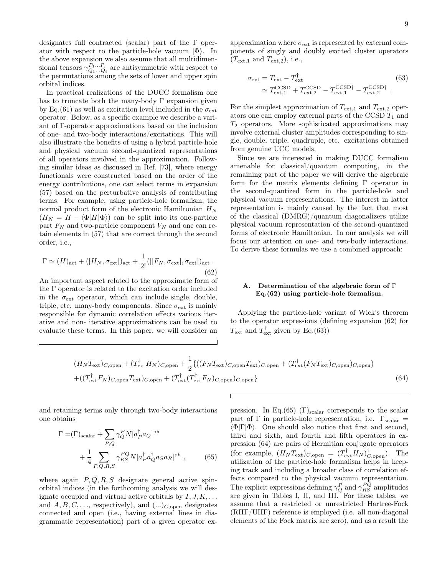designates full contracted (scalar) part of the Γ operator with respect to the particle-hole vacuum  $|\Phi\rangle$ . In the above expansion we also assume that all multidimensional tensors  $\gamma_{Q_1...Q_i}^{P_1...P_i}$  are antisymmetric with respect to the permutations among the sets of lower and upper spin orbital indices.

In practical realizations of the DUCC formalism one has to truncate both the many-body Γ expansion given by Eq.(61) as well as excitation level included in the  $\sigma_{\text{ext}}$ operator. Below, as a specific example we describe a variant of Γ-operator approximations based on the inclusion of one- and two-body interactions/excitations. This will also illustrate the benefits of using a hybrid particle-hole and physical vacuum second-quantized representations of all operators involved in the approximation. Following similar ideas as discussed in Ref. [73], where energy functionals were constructed based on the order of the energy contributions, one can select terms in expansion (57) based on the perturbative analysis of contributing terms. For example, using particle-hole formalism, the normal product form of the electronic Hamiltonian  $H_N$  $(H_N = H - \langle \Phi | H | \Phi \rangle)$  can be split into its one-particle part  $F_N$  and two-particle component  $V_N$  and one can retain elements in (57) that are correct through the second order, i.e.,

$$
\Gamma \simeq (H)_{\text{act}} + ([H_N, \sigma_{\text{ext}}])_{\text{act}} + \frac{1}{2!}([[F_N, \sigma_{\text{ext}}], \sigma_{\text{ext}}])_{\text{act}}.
$$
\n(62)

An important aspect related to the approximate form of the Γ operator is related to the excitation order included in the  $\sigma_{\text{ext}}$  operator, which can include single, double, triple, etc. many-body components. Since  $\sigma_{\text{ext}}$  is mainly responsible for dynamic correlation effects various iterative and non- iterative approximations can be used to evaluate these terms. In this paper, we will consider an

approximation where  $\sigma_{\text{ext}}$  is represented by external components of singly and doubly excited cluster operators  $(T_{\text{ext},1}$  and  $T_{\text{ext},2}$ ), i.e.,

$$
\sigma_{\text{ext}} = T_{\text{ext}} - T_{\text{ext}}^{\dagger}
$$
\n
$$
\simeq T_{\text{ext},1}^{\text{CCSD}} + T_{\text{ext},2}^{\text{CCSD}} - T_{\text{ext},1}^{\text{CCSD} \dagger} - T_{\text{ext},2}^{\text{CCSD} \dagger}.
$$
\n(63)

For the simplest approximation of  $T_{ext,1}$  and  $T_{ext,2}$  operators one can employ external parts of the CCSD  $T_1$  and  $T_2$  operators. More sophisticated approximations may involve external cluster amplitudes corresponding to single, double, triple, quadruple, etc. excitations obtained from genuine UCC models.

Since we are interested in making DUCC formalism amenable for classical/quantum computing, in the remaining part of the paper we will derive the algebraic form for the matrix elements defining Γ operator in the second-quantized form in the particle-hole and physical vacuum representations. The interest in latter representation is mainly caused by the fact that most of the classical (DMRG)/quantum diagonalizers utilize physical vacuum representation of the second-quantized forms of electronic Hamiltonian. In our analysis we will focus our attention on one- and two-body interactions. To derive these formulas we use a combined approach:

#### A. Determination of the algebraic form of Γ Eq.(62) using particle-hole formalism.

Applying the particle-hole variant of Wick's theorem to the operator expressions (defining expansion (62) for  $T_{\text{ext}}$  and  $T_{\text{ext}}^{\dagger}$  given by Eq.(63))

$$
(H_N T_{\text{ext}})_{C,\text{open}} + (T_{\text{ext}}^{\dagger} H_N)_{C,\text{open}} + \frac{1}{2} \{ ((F_N T_{\text{ext}})_{C,\text{open}} T_{\text{ext}})_{C,\text{open}} + (T_{\text{ext}}^{\dagger} (F_N T_{\text{ext}})_{C,\text{open}})_{C,\text{open}} )\n+ ((T_{\text{ext}}^{\dagger} F_N)_{C,\text{open}} T_{\text{ext}})_{C,\text{open}} + (T_{\text{ext}}^{\dagger} (T_{\text{ext}}^{\dagger} F_N)_{C,\text{open}})_{C,\text{open}} \}
$$
\n(64)

and retaining terms only through two-body interactions one obtains

$$
\Gamma = (\Gamma)_{\text{scalar}} + \sum_{P,Q} \gamma_Q^P N [a_P^{\dagger} a_Q]^{\text{ph}}
$$
  
+ 
$$
\frac{1}{4} \sum_{P,Q,R,S} \gamma_{RS}^{PQ} N [a_P^{\dagger} a_Q^{\dagger} a_S a_R]^{\text{ph}}, \qquad (65)
$$

where again  $P, Q, R, S$  designate general active spinorbital indices (in the forthcoming analysis we will designate occupied and virtual active orbitals by  $I, J, K, \ldots$ and  $A, B, C, \ldots$ , respectively), and  $(\ldots)_{C,\text{open}}$  designates connected and open (i.e., having external lines in diagrammatic representation) part of a given operator expression. In Eq.(65) (Γ)<sub>scalar</sub> corresponds to the scalar part of  $\Gamma$  in particle-hole representation, i.e.  $\Gamma_{\text{scalar}} =$  $\langle \Phi | \Gamma | \Phi \rangle$ . One should also notice that first and second, third and sixth, and fourth and fifth operators in expression (64) are pairs of Hermitian conjugate operators (for example,  $(H_N T_{\text{ext}})_{C,\text{open}} = (T_{\text{ext}}^{\dagger} H_N)_{C,\text{open}}^{\dagger}$ ). The utilization of the particle-hole formalism helps in keeping track and including a broader class of correlation effects compared to the physical vacuum representation. The explicit expressions defining  $\gamma_{Q}^{P}$  and  $\gamma_{RS}^{PQ}$  amplitudes are given in Tables I, II, and III. For these tables, we assume that a restricted or unrestricted Hartree-Fock (RHF/UHF) reference is employed (i.e. all non-diagonal elements of the Fock matrix are zero), and as a result the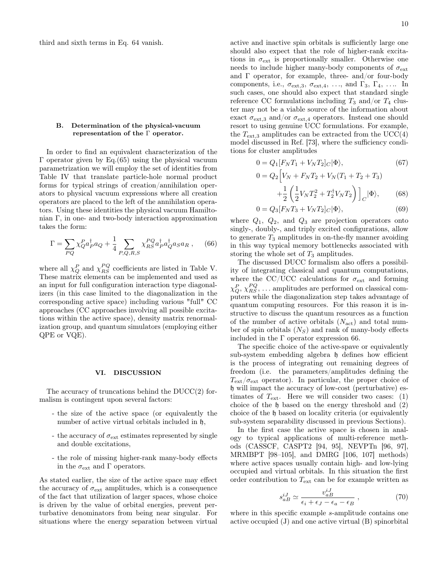third and sixth terms in Eq. 64 vanish.

#### B. Determination of the physical-vacuum representation of the Γ operator.

In order to find an equivalent characterization of the Γ operator given by Eq.(65) using the physical vacuum parametrization we will employ the set of identities from Table IV that translate particle-hole normal product forms for typical strings of creation/annihilation operators to physical vacuum expressions where all creation operators are placed to the left of the annihilation operators. Using these identities the physical vacuum Hamiltonian Γ, in one- and two-body interaction approximation takes the form:

$$
\Gamma = \sum_{PQ} \chi_{Q}^{P} a_{P}^{\dagger} a_{Q} + \frac{1}{4} \sum_{P,Q,R,S} \chi_{RS}^{PQ} a_{P}^{\dagger} a_{Q}^{\dagger} a_{SR} \,, \tag{66}
$$

where all  $\chi_{Q}^{P}$  and  $\chi_{RS}^{PQ}$  coefficients are listed in Table V. These matrix elements can be implemented and used as an input for full configuration interaction type diagonalizers (in this case limited to the diagonalization in the corresponding active space) including various "full" CC approaches (CC approaches involving all possible excitations within the active space), density matrix renormalization group, and quantum simulators (employing either QPE or VQE).

#### VI. DISCUSSION

The accuracy of truncations behind the DUCC(2) formalism is contingent upon several factors:

- the size of the active space (or equivalently the number of active virtual orbitals included in  $\mathfrak{h}$ ,
- the accuracy of  $\sigma_{\text{ext}}$  estimates represented by single and double excitations,
- the role of missing higher-rank many-body effects in the  $\sigma_{\text{ext}}$  and  $\Gamma$  operators.

As stated earlier, the size of the active space may effect the accuracy of  $\sigma_{\text{ext}}$  amplitudes, which is a consequence of the fact that utilization of larger spaces, whose choice is driven by the value of orbital energies, prevent perturbative denominators from being near singular. For situations where the energy separation between virtual active and inactive spin orbitals is sufficiently large one should also expect that the role of higher-rank excitations in  $\sigma_{\text{ext}}$  is proportionally smaller. Otherwise one needs to include higher many-body components of  $\sigma_{\text{ext}}$ and  $\Gamma$  operator, for example, three- and/or four-body components, i.e.,  $\sigma_{ext,3}$ ,  $\sigma_{ext,4}$ , ..., and  $\Gamma_3$ ,  $\Gamma_4$ , .... In such cases, one should also expect that standard single reference CC formulations including  $T_3$  and/or  $T_4$  cluster may not be a viable source of the information about exact  $\sigma_{\text{ext},3}$  and/or  $\sigma_{\text{ext},4}$  operators. Instead one should resort to using genuine UCC formulations. For example, the  $T_{\text{ext,3}}$  amplitudes can be extracted from the UCC(4) model discussed in Ref. [73], where the sufficiency conditions for cluster amplitudes

$$
0 = Q_1[F_N T_1 + V_N T_2]_C |\Phi\rangle, \tag{67}
$$

$$
0 = Q_2 \Big[ V_N + F_N T_2 + V_N (T_1 + T_2 + T_3) + \frac{1}{2} \left( \frac{1}{2} V_N T_2^2 + T_2^{\dagger} V_N T_2 \right) \Big]_C |\Phi\rangle, \qquad (68)
$$

$$
0 = Q_3[F_N T_3 + V_N T_2]_C |\Phi\rangle, \tag{69}
$$

where  $Q_1$ ,  $Q_2$ , and  $Q_3$  are projection operators onto singly-, doubly-, and triply excited configurations, allow to generate  $T_3$  amplitudes in on-the-fly manner avoiding in this way typical memory bottlenecks associated with storing the whole set of  $T_3$  amplitudes.

The discussed DUCC formalism also offers a possibility of integrating classical and quantum computations, where the CC/UCC calculations for  $\sigma_{\text{ext}}$  and forming  $\chi_Q^P$ ,  $\chi_{RS}^{PQ}$ , ... amplitudes are performed on classical computers while the diagonalization step takes advantage of quantum computing resources. For this reason it is instructive to discuss the quantum resources as a function of the number of active orbitals  $(N_{\text{act}})$  and total number of spin orbitals  $(N_S)$  and rank of many-body effects included in the  $\Gamma$  operator expression 66.

The specific choice of the active-spave or equivalently sub-system embedding algebra  $\mathfrak h$  defines how efficient is the process of integrating out remaining degrees of freedom (i.e. the parameters/amplitudes defining the  $T_{\text{ext}}/\sigma_{\text{ext}}$  operator). In particular, the proper choice of h will impact the accuracy of low-cost (perturbative) estimates of  $T_{\text{ext}}$ . Here we will consider two cases: (1) choice of the h based on the energy threshold and (2) choice of the h based on locality criteria (or equivalently sub-system separability discussed in previous Sections).

In the first case the active space is chosen in analogy to typical applications of multi-reference methods (CASSCF, CASPT2 [94, 95], NEVPTn [96, 97], MRMBPT [98–105], and DMRG [106, 107] methods) where active spaces usually contain high- and low-lying occupied and virtual orbitals. In this situation the first order contribution to  $T_{\text{ext}}$  can be for example written as

$$
s_{aB}^{iJ} \simeq \frac{v_{aB}^{iJ}}{\epsilon_i + \epsilon_J - \epsilon_a - \epsilon_B} , \qquad (70)
$$

where in this specific example s-amplitude contains one active occupied (J) and one active virtual (B) spinorbital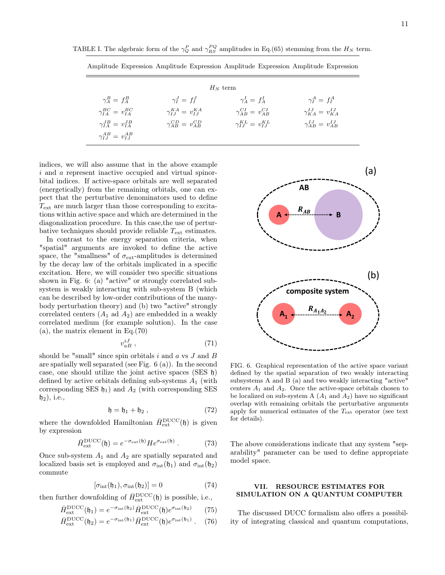| Amplitude Expression Amplitude Expression Amplitude Expression Amplitude Expression |  |                                  |  |                                  |  |                                    |  |
|-------------------------------------------------------------------------------------|--|----------------------------------|--|----------------------------------|--|------------------------------------|--|
| $H_N$ term                                                                          |  |                                  |  |                                  |  |                                    |  |
| $\gamma_A^B = f_A^B$                                                                |  | $\gamma_I^J = f_I^J$             |  | $\gamma_A^I = f_A^I$             |  | $\gamma_I^A = f_I^A$               |  |
| $\gamma_{IA}^{BC} = v_{IA}^{BC}$                                                    |  | $\gamma_{II}^{KA} = v_{II}^{KA}$ |  | $\gamma_{AB}^{CI} = v_{AB}^{CI}$ |  | $\gamma_{K_A}^{IJ} = v_{K_A}^{IJ}$ |  |
| $\gamma_{IA}^{JB} = v_{IA}^{JB}$                                                    |  | $\gamma_{AB}^{CD} = v_{AB}^{CD}$ |  | $\gamma_{II}^{KL} = v_{II}^{KL}$ |  | $\gamma_{AB}^{IJ} = v_{AB}^{IJ}$   |  |
| $\gamma_{II}^{AB} = v_{II}^{AB}$                                                    |  |                                  |  |                                  |  |                                    |  |

TABLE I. The algebraic form of the  $\gamma_Q^P$  and  $\gamma_{RS}^{PQ}$  amplitudes in Eq.(65) stemming from the  $H_N$  term.

indices, we will also assume that in the above example i and a represent inactive occupied and virtual spinorbital indices. If active-space orbitals are well separated (energetically) from the remaining orbitals, one can expect that the perturbative denominators used to define  $T_{\text{ext}}$  are much larger than those corresponding to excitations within active space and which are determined in the diagonalization procedure. In this case,the use of perturbative techniques should provide reliable  $T_{\text{ext}}$  estimates.

In contrast to the energy separation criteria, when "spatial" arguments are invoked to define the active space, the "smallness" of  $\sigma_{\text{ext}}$ -amplitudes is determined by the decay law of the orbitals implicated in a specific excitation. Here, we will consider two specific situations shown in Fig. 6: (a) "active" or strongly correlated subsystem is weakly interacting with sub-system B (which can be described by low-order contributions of the manybody perturbation theory) and (b) two "active" strongly correlated centers  $(A_1 \text{ ad } A_2)$  are embedded in a weakly correlated medium (for example solution). In the case (a), the matrix element in Eq.(70)

$$
v_{a}^{iJ} \t{,} \t(71)
$$

should be "small" since spin orbitals  $i$  and  $a$  vs  $J$  and  $B$ are spatially well separated (see Fig. 6 (a)). In the second case, one should utilize the joint active spaces (SES h) defined by active orbitals defining sub-systems  $A_1$  (with corresponding SES  $\mathfrak{h}_1$ ) and  $A_2$  (with corresponding SES  ${\mathfrak h}_2$ , i.e.,

$$
\mathfrak{h} = \mathfrak{h}_1 + \mathfrak{h}_2 , \qquad (72)
$$

where the downfolded Hamiltonian  $\bar{H}_{\text{ext}}^{\text{DUCC}}(\mathfrak{h})$  is given by expression

$$
\bar{H}_{\text{ext}}^{\text{DUCC}}(\mathfrak{h}) = e^{-\sigma_{\text{ext}}(\mathfrak{h})} H e^{\sigma_{\text{ext}}(\mathfrak{h})} . \tag{73}
$$

Once sub-system  $A_1$  and  $A_2$  are spatially separated and localized basis set is employed and  $\sigma_{\rm int}(\mathfrak{h}_1)$  and  $\sigma_{\rm int}(\mathfrak{h}_2)$ commute

$$
[\sigma_{\rm int}(\mathfrak{h}_1), \sigma_{\rm int}(\mathfrak{h}_2)] = 0 \tag{74}
$$

then further downfolding of  $\bar{H}_{\textrm{ext}}^{\textrm{DUCC}}(\mathfrak{h})$  is possible, i.e.,

$$
\bar{H}_{\text{ext}}^{\text{DUCC}}(\mathfrak{h}_1) = e^{-\sigma_{\text{int}}(\mathfrak{h}_2)} \bar{H}_{\text{ext}}^{\text{DUCC}}(\mathfrak{h}) e^{\sigma_{\text{int}}(\mathfrak{h}_2)} \qquad (75)
$$

$$
\bar{H}_{\text{ext}}^{\text{DUCC}}(\mathfrak{h}_2) = e^{-\sigma_{\text{int}}(\mathfrak{h}_1)} \bar{H}_{\text{ext}}^{\text{DUCC}}(\mathfrak{h}) e^{\sigma_{\text{int}}(\mathfrak{h}_1)} . \quad (76)
$$



FIG. 6. Graphical representation of the active space variant defined by the spatial separation of two weakly interacting subsystems A and B (a) and two weakly interacting "active" centers  $A_1$  and  $A_2$ . Once the active-space orbitals chosen to be localized on sub-system A  $(A_1 \text{ and } A_2)$  have no significant overlap with remaining orbitals the perturbative arguments apply for numerical estimates of the  $T_{\text{ext}}$  operator (see text for details).

The above considerations indicate that any system "separability" parameter can be used to define appropriate model space.

# VII. RESOURCE ESTIMATES FOR SIMULATION ON A QUANTUM COMPUTER

The discussed DUCC formalism also offers a possibility of integrating classical and quantum computations,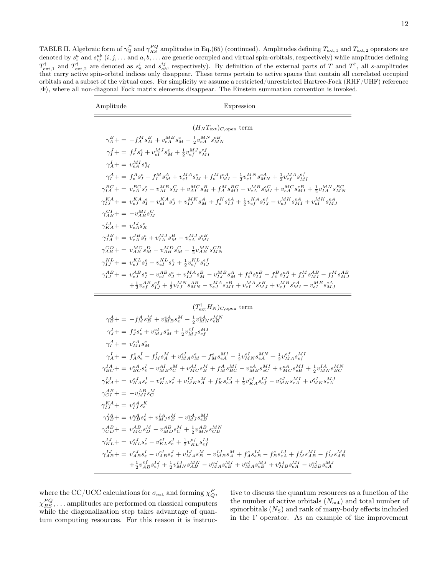TABLE II. Algebraic form of  $\gamma_Q^P$  and  $\gamma_{RS}^{PQ}$  amplitudes in Eq.(65) (continued). Amplitudes defining  $T_{\rm ext,1}$  and  $T_{\rm ext,2}$  operators are denoted by  $s_i^a$  and  $s_{ij}^{ab}$   $(i, j, \ldots$  and  $a, b, \ldots$  are generic occupied and virtual spin-orbitals, respectively) while amplitudes defining  $T_{\text{ext},1}^{\dagger}$  and  $T_{\text{ext},2}^{\dagger}$  are denoted as  $s_a^i$  and  $s_{ab}^{ij}$ , respectively). By definition of the external parts of T and  $T^{\dagger}$ , all s-amplitudes that carry active spin-orbital indices only disappear. These terms pertain to active spaces that contain all correlated occupied orbitals and a subset of the virtual ones. For simplicity we assume a restricted/unrestricted Hartree-Fock (RHF/UHF) reference  $|\Phi\rangle$ , where all non-diagonal Fock matrix elements disappear. The Einstein summation convention is invoked.

| Amplitude                                                                                                                                                                                                       | Expression                                                                                                                                                                                    |  |  |  |
|-----------------------------------------------------------------------------------------------------------------------------------------------------------------------------------------------------------------|-----------------------------------------------------------------------------------------------------------------------------------------------------------------------------------------------|--|--|--|
|                                                                                                                                                                                                                 | $(H_N T_{\rm ext})_{C \text{ open}}$ term                                                                                                                                                     |  |  |  |
| $\gamma_A^B = -f_A^M s_M^B + v_{eA}^{MB} s_M^e - \frac{1}{2} v_{eA}^{MN} s_{MN}^{eB}$                                                                                                                           |                                                                                                                                                                                               |  |  |  |
| $\gamma_I^J = f_e^J s_I^e + v_{eI}^{MJ} s_M^e + \frac{1}{2} v_{eI}^{MJ} s_{MI}^{ef}$                                                                                                                            |                                                                                                                                                                                               |  |  |  |
| $\gamma_A^I + = v_{eA}^{M I} s_M^e$                                                                                                                                                                             |                                                                                                                                                                                               |  |  |  |
|                                                                                                                                                                                                                 | $\gamma_I^A = f_e^A s_I^e - f_I^M s_M^A + v_{eI}^{MA} s_M^e + f_e^M t_{MI}^{eA} - \frac{1}{2} v_{eI}^{MN} s_{MN}^{eA} + \frac{1}{2} v_{eI}^{MA} s_{MI}^{ef}$                                  |  |  |  |
|                                                                                                                                                                                                                 | $\gamma_{IA}^{BC} += v_{eA}^{BC} s_I^e - v_{AI}^{MB} s_M^C + v_{AI}^{MC} s_M^B + f_A^M s_{MI}^{BC} - v_{eA}^{MB} s_{MI}^{ec} + v_{eA}^{MC} s_{MI}^{eB} + \frac{1}{2} v_{IA}^{MN} s_{MN}^{BC}$ |  |  |  |
|                                                                                                                                                                                                                 | $\gamma_{LL}^{KA} = v_{eI}^{KA} s_I^e - v_{eI}^{KA} s_I^e + v_{LI}^{MK} s_M^A + f_e^K s_{LI}^{eA} + \frac{1}{2} v_{eI}^{KA} s_{LI}^{ef} - v_{eI}^{MK} s_{MI}^{eA} + v_{eI}^{MK} s_{MJ}^{eA}$  |  |  |  |
| $\gamma_{AB}^{CI}$ + = $-v_{AB}^{MI} s_M^C$                                                                                                                                                                     |                                                                                                                                                                                               |  |  |  |
| $\gamma_{KA}^{IJ}+=v_{e\,A}^{IJ}s_{K}^{e}$                                                                                                                                                                      |                                                                                                                                                                                               |  |  |  |
| $\gamma_{IA}^{JB} = v_{eA}^{JB} s_I^e + v_{IA}^{MJ} s_M^B - v_{eA}^{MJ} s_{MI}^{eB}$                                                                                                                            |                                                                                                                                                                                               |  |  |  |
|                                                                                                                                                                                                                 | $\gamma_{AB}^{CD} = v_{AB}^{MC} s_M^D - v_{AB}^{MD} s_M^C + \frac{1}{2} v_{AB}^{MN} s_{MN}^{CD}$                                                                                              |  |  |  |
| $\gamma_{LI}^{KL}$ + = $v_{e,I}^{KL} s_I^e - v_{eI}^{KL} s_I^e + \frac{1}{2} v_{eI}^{KL} s_{I,I}^{ef}$                                                                                                          |                                                                                                                                                                                               |  |  |  |
| $\gamma_{I}^{AB} = v_{eI}^{AB} s_{I}^{e} - v_{eI}^{AB} s_{I}^{e} + v_{I}^{MA} s_{M}^{B} - v_{I}^{MB} s_{M}^{A} + f_{e}^{AB} s_{II}^{B} - f_{e}^{BA} s_{II}^{A} + f_{I}^{M} s_{MI}^{AB} - f_{I}^{M} s_{MI}^{AB}$ |                                                                                                                                                                                               |  |  |  |
| $+\frac{1}{2}v_{ef}^{AB} s_{IJ}^{ef} + \frac{1}{2}v_{IJ}^{MN} s_{MN}^{AB} - v_{eJ}^{MA} s_{MI}^{eB} + v_{eI}^{MA} s_{MJ}^{eB} + v_{eJ}^{MB} s_{MI}^{eA} - v_{eI}^{MB} s_{MJ}^{eA}$                              |                                                                                                                                                                                               |  |  |  |
| $(T_{\rm ext}^{\dagger}H_N)_{C,\rm open}$ term                                                                                                                                                                  |                                                                                                                                                                                               |  |  |  |

$$
\begin{split} \gamma_{B}^{A} &+ = -f_{M}^{A}s_{B}^{M} + v_{MB}^{eA}s_{e}^{M} - \tfrac{1}{2}v_{MN}^{eA}s_{eB}^{MN} \\ \gamma_{J}^{I} &+ = f_{J}^{e}s_{e}^{I} + v_{MJ}^{eI}s_{M}^{e} + \tfrac{1}{2}v_{MJ}^{ef}s_{ef}^{MI} \\ \gamma_{I}^{A} &+ = v_{MI}^{eA}s_{M}^{e} \\ \gamma_{A}^{I} &+ = f_{A}^{e}s_{e}^{I} - f_{M}^{I}s_{A}^{M} + v_{MA}^{eI}s_{M}^{e} + f_{M}^{e}s_{eA}^{MI} - \tfrac{1}{2}v_{MN}^{eI}s_{eA}^{MN} + \tfrac{1}{2}v_{MA}^{ef}s_{ef}^{MI} \\ \gamma_{BC}^{I} &+ = v_{BC}^{eA}s_{e}^{I} - v_{MB}^{A}s_{C}^{M} + v_{MC}^{M}s_{B}^{M} + f_{M}^{A}s_{BC}^{MI} - v_{MB}^{eA}s_{eC}^{MI} + v_{MC}^{A}s_{eB}^{MI} + \tfrac{1}{2}v_{MN}^{IA}s_{BC}^{MN} \\ \gamma_{KA}^{I} &+ = v_{KA}^{eJ}s_{e}^{I} - v_{KA}^{eJ}s_{e}^{J} + v_{MK}^{IJ}s_{M}^{M} + f_{K}^{e}s_{eA}^{IJ} + \tfrac{1}{2}v_{KA}^{e}s_{ef}^{I} - v_{MK}^{eJ}s_{eA}^{MI} + v_{MK}^{eI}s_{eA}^{MJ} \\ \gamma_{CH}^{A} &+ = -v_{MI}^{AB}s_{C}^{M} \\ \gamma_{IJ}^{I} &+ = v_{IJ}^{eA}s_{e}^{I} \\ \gamma_{IJ}^{I} &+ = v_{IJ}^{eA}s_{e}^{I} + v_{MJ}^{IA}s_{B}^{M} - v_{MJ}^{eA}s_{eB}^{MI} \\ \gamma_{B}^{I} &+ = v_{MB}^{eA}s_{e}^{I} + v_{MJ}^{IA}s_{B}^{M} - v_{MJ}^{A}s_{eB}^{M} \\ \gamma_{B}^{I} &+ = v_{MB}^{eA}s
$$

where the CC/UCC calculations for  $\sigma_{\rm ext}$  and forming  $\chi^P_Q$ ,  $\chi_{RS}^{PQ}, \ldots \text{amplitudes are performed on classical computers}$ while the diagonalization step takes advantage of quantum computing resources. For this reason it is instruc-

tive to discuss the quantum resources as a function of the the number of active orbitals  $(N_{\text{act}})$  and total number of spinorbitals  $(N<sub>S</sub>)$  and rank of many-body effects included in the Γ operator. As an example of the improvement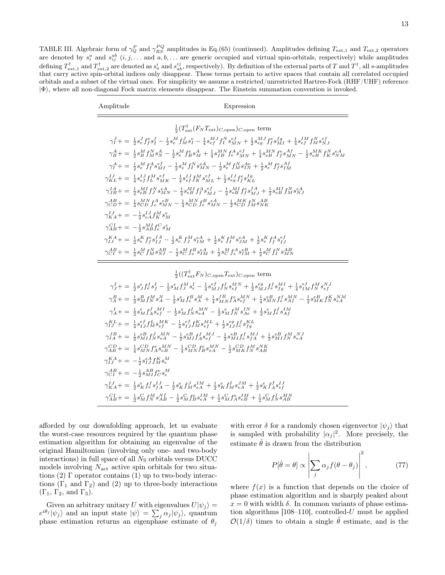TABLE III. Algebraic form of  $\gamma_{Q}^{P}$  and  $\gamma_{RS}^{PQ}$  amplitudes in Eq.(65) (continued). Amplitudes defining  $T_{\text{ext,1}}$  and  $T_{\text{ext,2}}$  operators are denoted by  $s_i^a$  and  $s_{ij}^{ab}$   $(i, j, \ldots)$  and  $a, b, \ldots$  are generic occupied and virtual spin-orbitals, respectively) while amplitudes defining  $T_{\text{ext},1}^{\dagger}$  and  $T_{\text{ext},2}^{\dagger}$  are denoted as  $s_a^i$  and  $s_{ab}^{ij}$ , respectively). By definition of the external parts of T and  $T^{\dagger}$ , all s-amplitudes that carry active spin-orbital indices only disappear. These terms pertain to active spaces that contain all correlated occupied orbitals and a subset of the virtual ones. For simplicity we assume a restricted/unrestricted Hartree-Fock (RHF/UHF) reference  $|\Phi\rangle$ , where all non-diagonal Fock matrix elements disappear. The Einstein summation convention is invoked.

| Amplitude                                                                                         | Expression                                                                                                                                                                                                                                  |  |  |  |  |
|---------------------------------------------------------------------------------------------------|---------------------------------------------------------------------------------------------------------------------------------------------------------------------------------------------------------------------------------------------|--|--|--|--|
| $\frac{1}{2}(T_{\text{ext}}^{\dagger}(F_{N}T_{\text{ext}})_{C.\text{open}})_{C.\text{open}}$ term |                                                                                                                                                                                                                                             |  |  |  |  |
|                                                                                                   | $\gamma_{I}^{J} = \frac{1}{2} s_e^{J} f_e^{e} s_I^{f} - \frac{1}{2} s_e^{M} f_{M}^{J} s_I^{e} - \frac{1}{4} s_{ef}^{M} f_{I}^{N} s_{MN}^{ef} + \frac{1}{2} s_{eg}^{M} f_{f}^{e} s_{MI}^{fg} + \frac{1}{4} s_{ef}^{M} f_{M}^{N} s_{NI}^{ef}$ |  |  |  |  |
|                                                                                                   | $\gamma^A_B = \frac{1}{2} s^M_B f^N_M s^A_N - \frac{1}{2} s^M_e f^e_B s^A_M + \frac{1}{4} s^M_{fB} f^A_e s^{\epsilon f}_{MN} + \frac{1}{4} s^M_{eB} f^e_B s^A_M - \frac{1}{2} s^M_{eB} f^N_K s^A_{NM}$                                      |  |  |  |  |
|                                                                                                   | $\gamma_I^A = \frac{1}{2} s_e^M f_f^A s_{MI}^{ef} - \frac{1}{2} s_e^M f_I^N s_{MN}^{eA} - \frac{1}{2} s_e^M f_M^N s_{IN}^{Ae} + \frac{1}{2} s_e^M f_f^e s_{IM}^{Af}$                                                                        |  |  |  |  |
|                                                                                                   | $\gamma_{KL}^{IJ} = \frac{1}{4} s_{ef}^{IJ} f_L^M s_{MK}^{ef} - \frac{1}{4} s_{ef}^{IJ} f_K^M s_{ML}^{ef} + \frac{1}{2} s_{eq}^{IJ} f_f^e s_{KL}^{fg}$                                                                                      |  |  |  |  |
|                                                                                                   | $\gamma_{JB}^{IA} = \frac{1}{2} s_{eB}^{MI} f_{J}^{N} s_{MN}^{eA} - \frac{1}{2} s_{eB}^{MI} f_{f}^{A} s_{MI}^{ef} - \frac{1}{2} s_{eB}^{MI} f_{f}^{e} s_{MI}^{fA} + \frac{1}{2} s_{eB}^{MI} f_{M}^{N} s_{NJ}^{eA}$                          |  |  |  |  |
|                                                                                                   | $\gamma_{CD}^{AB} = \frac{1}{4} s_{CD}^{MN} f_{e}^{A} s_{MN}^{eB} - \frac{1}{4} s_{CD}^{MN} f_{e}^{B} s_{MN}^{eA} - \frac{1}{2} s_{CD}^{MK} f_{M}^{N} s_{NK}^{AB}$                                                                          |  |  |  |  |
| $\gamma_{K}^{IJ}A = -\frac{1}{2} s_{eA}^{IJ} f_K^M s_M^e$                                         |                                                                                                                                                                                                                                             |  |  |  |  |
| $\gamma_{AB}^{CI}$ + = $-\frac{1}{2} s_{AB}^{MI} f_{e}^{C} s_{M}^{e}$                             |                                                                                                                                                                                                                                             |  |  |  |  |
|                                                                                                   | $\gamma_{LI}^{KA} = \frac{1}{2} s_{e}^{K} f_{f}^{e} s_{LI}^{fA} - \frac{1}{2} s_{e}^{K} f_{I}^{M} s_{IM}^{eA} + \frac{1}{2} s_{e}^{K} f_{I}^{M} s_{IM}^{eA} + \frac{1}{2} s_{e}^{K} f_{f}^{A} s_{LI}^{ef}$                                  |  |  |  |  |
|                                                                                                   | $\gamma_{CI}^{AB} += \frac{1}{2} s_C^M f_N^N s_{NI}^{AB} - \frac{1}{2} s_C^M f_e^B s_{IM}^{\epsilon A} + \frac{1}{2} s_C^M f_e^A s_{IM}^{\epsilon B} + \frac{1}{2} s_C^M f_l^N s_{MN}^{AB}$                                                 |  |  |  |  |
|                                                                                                   |                                                                                                                                                                                                                                             |  |  |  |  |

$$
\frac{1}{2}((T_{\text{ext}}^{\dagger}F_{N})_{C,\text{open}}T_{\text{ext}})_{C,\text{open}} \text{ term}
$$
\n
$$
\gamma_{J}^{I} + \frac{1}{2}s_{J}^{e}f_{e}^{f}f_{f} - \frac{1}{2}s_{M}^{e}f_{J}^{H}s_{e}^{I} - \frac{1}{4}s_{MJ}^{e}f_{N}s_{ef}^{M} + \frac{1}{2}s_{MJ}^{e}f_{e}^{H}s_{fg}^{M} + \frac{1}{4}s_{IM}^{e}f_{N}s_{fg}^{M}
$$
\n
$$
\gamma_{A}^{B} + \frac{1}{2}s_{M}^{B}f_{N}^{M}s_{A}^{N} - \frac{1}{2}s_{M}^{e}f_{e}^{B}s_{A}^{M} + \frac{1}{4}s_{MN}^{f}f_{A}s_{ef}^{M} + \frac{1}{4}s_{MN}^{e}f_{e}^{M}s_{Af}^{M} - \frac{1}{2}s_{MK}^{e}f_{N}s_{eA}^{M}
$$
\n
$$
\gamma_{A}^{I} + \frac{1}{2}s_{M}^{e}f_{A}^{f}s_{ef}^{M} - \frac{1}{2}s_{M}^{e}f_{M}^{H}s_{eA}^{M} - \frac{1}{2}s_{M}^{e}f_{N}^{M}s_{A}^{I} + \frac{1}{2}s_{M}^{e}f_{N}^{f}s_{Af}^{M}
$$
\n
$$
\gamma_{IJ}^{KL} + \frac{1}{4}s_{IJ}^{e}f_{M}s_{ef}^{M} - \frac{1}{4}s_{IJ}^{e}f_{M}s_{ef}^{M} + \frac{1}{2}s_{IJ}^{e}f_{e}^{H}s_{fg}^{KL}
$$
\n
$$
\gamma_{IA}^{IL} + \frac{1}{2}s_{MIJ}^{e}f_{M}s_{eA}^{M} - \frac{1}{2}s_{MIJ}^{e}f_{M}s_{ef}^{H} + \frac{1}{2}s_{IJ}^{e}f_{e}^{H}s_{fg}^{H}
$$
\n
$$
\gamma_{IA}^{IB} + \frac{1}{2}s_{MIJ}^{e}f_{N}s_{eA}^{M} - \frac{1}{2}s_{MIJ}^{e}f_{M}s_{ef}^{M} - \frac{1}{2}s_{MIJ}^{e}f_{R}s_{fA}^{H}
$$
\n
$$
\gamma_{AB}^{E
$$

afforded by our downfolding approach, let us evaluate the worst-case resources required by the quantum phase estimation algorithm for obtaining an eigenvalue of the original Hamiltonian (involving only one- and two-body interactions) in full space of all  $N<sub>S</sub>$  orbitals versus DUCC models involving  $N_{\text{act}}$  active spin orbitals for two situations  $(2)$  Γ operator contains  $(1)$  up to two-body interactions  $(\Gamma_1 \text{ and } \Gamma_2)$  and  $(2)$  up to three-body interactions  $(\Gamma_1, \Gamma_2, \text{ and } \Gamma_3).$ 

Given an arbitrary unitary U with eigenvalues  $U|\psi_j\rangle =$  $e^{i\theta_j}|\psi_j\rangle$  and an input state  $|\psi\rangle = \sum_j \alpha_j |\psi_j\rangle$ , quantum phase estimation returns an eigenphase estimate of  $\theta_j$ 

with error  $\delta$  for a randomly chosen eigenvector  $|\psi_j\rangle$  that is sampled with probability  $|\alpha_j|^2$ . More precisely, the estimate  $\hat{\theta}$  is drawn from the distribution

$$
P[\hat{\theta} = \theta] \propto \left| \sum_{j} \alpha_{j} f(\theta - \theta_{j}) \right|^{2}, \qquad (77)
$$

where  $f(x)$  is a function that depends on the choice of phase estimation algorithm and is sharply peaked about  $x = 0$  with width  $\delta$ . In common variants of phase estimation algorithms [108–110], controlled-U must be applied  $\mathcal{O}(1/\delta)$  times to obtain a single  $\hat{\theta}$  estimate, and is the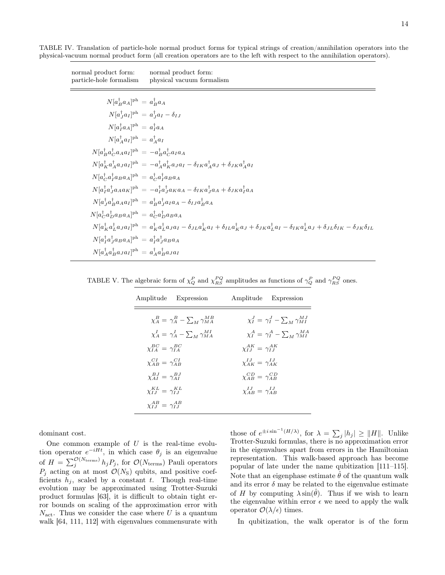TABLE IV. Translation of particle-hole normal product forms for typical strings of creation/annihilation operators into the physical-vacuum normal product form (all creation operators are to the left with respect to the annihilation operators).

| normal product form:<br>particle-hole formalism                                                      | normal product form:<br>physical vacuum formalism                                                                                                                                                                                                                                                                                                                                                              |
|------------------------------------------------------------------------------------------------------|----------------------------------------------------------------------------------------------------------------------------------------------------------------------------------------------------------------------------------------------------------------------------------------------------------------------------------------------------------------------------------------------------------------|
| $N[a_{\scriptscriptstyle D}^\dagger a_A]^{\rm ph} = a_{\scriptscriptstyle D}^\dagger a_A$            |                                                                                                                                                                                                                                                                                                                                                                                                                |
| $N[a_I^{\dagger} a_I]^{\text{ph}} = a_I^{\dagger} a_I - \delta_{IJ}$                                 |                                                                                                                                                                                                                                                                                                                                                                                                                |
| $N[a_I^{\dagger} a_A]^{\text{ph}} = a_I^{\dagger} a_A$                                               |                                                                                                                                                                                                                                                                                                                                                                                                                |
| $N[a_A^{\dagger} a_I]^{\text{ph}} = a_A^{\dagger} a_I$                                               |                                                                                                                                                                                                                                                                                                                                                                                                                |
| $N[a_B^{\dagger} a_C^{\dagger} a_A a_I]^{\text{ph}} = -a_B^{\dagger} a_C^{\dagger} a_I a_A$          |                                                                                                                                                                                                                                                                                                                                                                                                                |
|                                                                                                      | $N[a_{\nu}^{\dagger}a_{\nu}^{\dagger}a_{\nu}a_{\nu}]^{\text{ph}} = -a_{\nu}^{\dagger}a_{\nu}^{\dagger}a_{\nu}a_{\nu} - \delta_{\nu}a_{\nu}^{\dagger}a_{\nu} + \delta_{\nu}a_{\nu}^{\dagger}a_{\nu}$                                                                                                                                                                                                            |
| $N[a_C^{\dagger}a_B^{\dagger}a_Ba_A]^{ph} = a_C^{\dagger}a_B^{\dagger}a_Ba_A$                        |                                                                                                                                                                                                                                                                                                                                                                                                                |
|                                                                                                      | $N[a^{\dagger}_{I}a^{\dagger}_{I}a_{A}a_{K}]^{\text{ph}} = -a^{\dagger}_{I}a^{\dagger}_{I}a_{K}a_{A} - \delta_{IK}a^{\dagger}_{I}a_{A} + \delta_{JK}a^{\dagger}_{I}a_{A}$                                                                                                                                                                                                                                      |
|                                                                                                      | $N[a_{I}^{\dagger}a_{B}^{\dagger}a_{A}a_{I}]^{\text{ph}} = a_{B}^{\dagger}a_{I}^{\dagger}a_{I}a_{A} - \delta_{I,I}a_{B}^{\dagger}a_{A}$                                                                                                                                                                                                                                                                        |
| $N[a_C^{\dagger} a_B^{\dagger} a_B a_A]^{\text{ph}} = a_C^{\dagger} a_B^{\dagger} a_B a_A$           |                                                                                                                                                                                                                                                                                                                                                                                                                |
|                                                                                                      | $N[a_{\kappa}^{\dagger}a_{\kappa}^{\dagger}a_{\kappa}a_{\kappa}^{\dagger}a_{\kappa}a_{\kappa}^{\dagger}a_{\kappa}^{\dagger}a_{\kappa}a_{\kappa}^{\dagger}a_{\kappa}^{\dagger}a_{\kappa}^{\dagger}a_{\kappa}^{\dagger}a_{\kappa}^{\dagger}a_{\kappa}^{\dagger}a_{\kappa}^{\dagger}a_{\kappa}^{\dagger}a_{\kappa}^{\dagger}a_{\kappa}^{\dagger}a_{\kappa}^{\dagger}a_{\kappa}^{\dagger}a_{\kappa}^{\dagger}a_{\$ |
| $N[a_I^{\dagger} a_I^{\dagger} a_B a_A]^{\text{ph}} = a_I^{\dagger} a_I^{\dagger} a_B a_A$           |                                                                                                                                                                                                                                                                                                                                                                                                                |
| $N[a^{\dagger}_{A}a^{\dagger}_{B}a_{J}a_{I}]^{\text{ph}} = a^{\dagger}_{A}a^{\dagger}_{B}a_{J}a_{I}$ |                                                                                                                                                                                                                                                                                                                                                                                                                |

TABLE V. The algebraic form of  $\chi^P_Q$  and  $\chi^{PQ}_{RS}$  amplitudes as functions of  $\gamma^P_Q$  and  $\gamma^{PQ}_{RS}$  ones.

| Amplitude<br>Expression                           | Amplitude<br>Expression                           |
|---------------------------------------------------|---------------------------------------------------|
| $\chi_A^B = \gamma_A^B - \sum_M \gamma_{MA}^{MB}$ | $\chi_I^J = \gamma_I^J - \sum_M \gamma_{MI}^{MJ}$ |
| $\chi_A^I = \gamma_A^I - \sum_M \gamma_{MA}^{MI}$ | $\chi_I^A = \gamma_I^A - \sum_M \gamma_{MI}^{MA}$ |
| $\chi_{IA}^{BC} = \gamma_{IA}^{BC}$               | $\chi_{II}^{AK} = \gamma_{LI}^{AK}$               |
| $\chi_{AB}^{CI} = \gamma_{AB}^{CI}$               | $\chi^{IJ}_{AK} = \gamma^{IJ}_{AK}$               |
| $\gamma_{AI}^{BJ} = \gamma_{AI}^{BJ}$             | $\chi_{AB}^{CD} = \gamma_{AB}^{CD}$               |
| $\chi_{II}^{KL} = \gamma_{LI}^{KL}$               | $\gamma^{IJ}_{AD} = \gamma^{IJ}_{AD}$             |
| $\gamma_{II}^{AB} = \gamma_{II}^{AB}$             |                                                   |

dominant cost.

 $=$ 

One common example of  $U$  is the real-time evolution operator  $e^{-iHt}$ , in which case  $\theta_j$  is an eigenvalue of  $H = \sum_{j}^{\mathcal{O}(N_{\text{terms}})} h_j P_j$ , for  $\mathcal{O}(N_{\text{terms}})$  Pauli operators  $P_j$  acting on at most  $\mathcal{O}(N_{\rm S})$  qubits, and positive coefficients  $h_i$ , scaled by a constant t. Though real-time evolution may be approximated using Trotter-Suzuki product formulas [63], it is difficult to obtain tight error bounds on scaling of the approximation error with  $N_{\text{act}}$ . Thus we consider the case where U is a quantum walk [64, 111, 112] with eigenvalues commensurate with

those of  $e^{\pm i \sin^{-1}(H/\lambda)}$ , for  $\lambda = \sum_j |h_j| \ge ||H||$ . Unlike Trotter-Suzuki formulas, there is no approximation error in the eigenvalues apart from errors in the Hamiltonian representation. This walk-based approach has become popular of late under the name qubitization [111–115]. Note that an eigenphase estimate  $\hat{\theta}$  of the quantum walk and its error  $\delta$  may be related to the eigenvalue estimate of H by computing  $\lambda \sin(\hat{\theta})$ . Thus if we wish to learn the eigenvalue within error  $\epsilon$  we need to apply the walk operator  $\mathcal{O}(\lambda/\epsilon)$  times.

In qubitization, the walk operator is of the form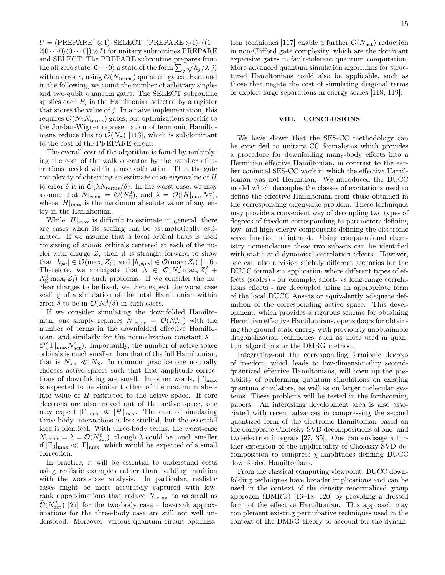U = (PREPARE† ⊗ I)·SELECT·(PREPARE ⊗ I)·((1−  $2|0\cdots0\rangle\langle0\cdots0|$   $\otimes I$  for unitary subroutines PREPARE and SELECT. The PREPARE subroutine prepares from the all zero state  $|0 \cdots 0\rangle$  a state of the form  $\sum_j \sqrt{h_j/\lambda} |j\rangle$ within error  $\epsilon$ , using  $\mathcal{O}(N_{\text{terms}})$  quantum gates. Here and in the following, we count the number of arbitrary singleand two-qubit quantum gates. The SELECT subroutine applies each  $P_i$  in the Hamiltonian selected by a register that stores the value of  $j$ . In a naive implementation, this requires  $\mathcal{O}(N_{\rm S}N_{\rm terms})$  gates, but optimizations specific to the Jordan-Wigner representation of fermionic Hamiltonians reduce this to  $\mathcal{O}(N_{\rm S})$  [113], which is subdominant to the cost of the PREPARE circuit.

The overall cost of the algorithm is found by multiplying the cost of the walk operator by the number of iterations needed within phase estimation. Thus the gate complexity of obtaining an estimate of an eigenvalue of H to error  $\delta$  is in  $\mathcal{O}(\lambda N_{\text{terms}}/\delta)$ . In the worst-case, we may assume that  $N_{\text{terms}} = \mathcal{O}(N_{\text{S}}^4)$ , and  $\lambda = \mathcal{O}(|H|_{\text{max}}N_{\text{S}}^4)$ , where  $|H|_{\text{max}}$  is the maximum absolute value of any entry in the Hamiltonian.

While  $|H|_{\text{max}}$  is difficult to estimate in general, there are cases when its scaling can be asymptotically estimated. If we assume that a local orbital basis is used consisting of atomic orbitals centered at each of the nuclei with charge  $Z_i$  then it is straight forward to show that  $|h_{pq}| \in \mathcal{O}(\max_i Z_i^2)$  and  $|h_{pqrs}| \in \mathcal{O}(\max_i Z_i)$  [116]. Therefore, we anticipate that  $\lambda \in \mathcal{O}(N_S^2 \max_i Z_i^2 +$  $N_S^4 \max_i Z_i$  for such problems. If we consider the nuclear charges to be fixed, we then expect the worst case scaling of a simulation of the total Hamiltonian within error  $\delta$  to be in  $\mathcal{O}(N_{\rm S}^8/\delta)$  in such cases.

If we consider simulating the downfolded Hamiltonian, one simply replaces  $N_{\text{terms}} = \mathcal{O}(N_{\text{act}}^4)$  with the number of terms in the downfolded effective Hamiltonian, and similarly for the normalization constant  $\lambda =$  $\mathcal{O}(|\Gamma|_{\text{max}}N_{\text{act}}^4)$ . Importantly, the number of active space orbitals is much smaller than that of the full Hamiltonian, that is  $N_{\text{act}} \ll N_{\text{S}}$ . In common practice one normally chooses active spaces such that that amplitude corrections of downfolding are small. In other words,  $|\Gamma|_{\text{max}}$ is expected to be similar to that of the maximum absolute value of  $H$  restricted to the active space. If core electrons are also moved out of the active space, one may expect  $|\Gamma|_{\text{max}} \ll |H|_{\text{max}}$ . The case of simulating three-body interactions is less-studied, but the essential idea is identical. With three-body terms, the worst-case  $N_{\text{terms}} = \lambda = \mathcal{O}(N_{\text{act}}^6)$ , though  $\lambda$  could be much smaller if  $|\Gamma_3|_{\text{max}} \ll |\Gamma|_{\text{max}}$ , which would be expected of a small correction.

In practice, it will be essential to understand costs using realistic examples rather than building intuition with the worst-case analysis. In particular, realistic cases might be more accurately captured with lowrank approximations that reduce  $N_{\text{terms}}$  to as small as  $\widetilde{\mathcal{O}}(N_{\text{act}}^2)$  [27] for the two-body case – low-rank approximations for the three-body case are still not well understood. Moreover, various quantum circuit optimiza-

tion techniques [117] enable a further  $\mathcal{O}(N_{\text{act}})$  reduction in non-Clifford gate complexity, which are the dominant expensive gates in fault-tolerant quantum computation. More advanced quantum simulation algorithms for structured Hamiltonians could also be applicable, such as those that negate the cost of simulating diagonal terms or exploit large separations in energy scales [118, 119].

## VIII. CONCLUSIONS

We have shown that the SES-CC methodology can be extended to unitary CC formalisms which provides a procedure for downfolding many-body effects into a Hermitian effective Hamiltonian, in contrast to the earlier coninical SES-CC work in which the effective Hamiltonian was not Hermitian. We introduced the DUCC model which decouples the classes of excitations used to define the effective Hamiltonian from those obtained in the corresponding eigenvalue problem. These techniques may provide a convenient way of decoupling two types of degrees of freedom corresponding to parameters defining low- and high-energy components defining the electronic wave function of interest. Using computational chemistry nomenclature these two subsets can be identified with static and dynamical correlation effects. However, one can also envision slightly different scenarios for the DUCC formalism application where different types of effects (scales) - for example, short- vs long-range correlations effects - are decoupled using an appropriate form of the local DUCC Ansatz or equivalently adequate definition of the corresponding active space. This development, which provides a rigorous scheme for obtaining Hermitian effective Hamiltonians, opens doors for obtaining the ground-state energy with previously unobtainable diagonalization techniques, such as those used in quantum algorithms or the DMRG method.

Integrating-out the corresponding fermionic degrees of freedom, which leads to low-dimensionality secondquantized effective Hamiltonians, will open up the possibility of performing quantum simulations on existing quantum simulators, as well as on larger molecular systems. These problems will be tested in the forthcoming papers. An interesting development area is also associated with recent advances in compressing the second quantized form of the electronic Hamiltonian based on the composite Cholesky-SVD decompositions of one- and two-electron integrals [27, 35]. One can envisage a further extension of the applicability of Cholesky-SVD decomposition to compress  $\chi$ -amplitudes defining DUCC downfolded Hamiltonians.

From the classical computing viewpoint, DUCC downfolding techniques have broader implications and can be used in the context of the density renormalized group approach (DMRG) [16–18, 120] by providing a dressed form of the effective Hamiltonian. This approach may complement existing perturbative techniques used in the context of the DMRG theory to account for the dynam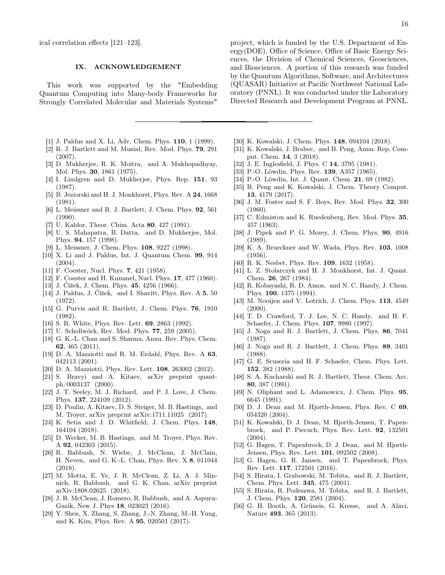ical correlation effects [121–123].

# IX. ACKNOWLEDGEMENT

This work was supported by the "Embedding Quantum Computing into Many-body Frameworks for Strongly Correlated Molecular and Materials Systems"

- [1] J. Paldus and X. Li, Adv. Chem. Phys. 110, 1 (1999).
- [2] R. J. Bartlett and M. Musiał, Rev. Mod. Phys. 79, 291 (2007).
- [3] D. Mukherjee, R. K. Moitra, and A. Mukhopadhyay, Mol. Phys. 30, 1861 (1975).
- [4] I. Lindgren and D. Mukherjee, Phys. Rep. 151, 93 (1987).
- [5] B. Jeziorski and H. J. Monkhorst, Phys. Rev. A 24, 1668 (1981).
- [6] L. Meissner and R. J. Bartlett, J. Chem. Phys. 92, 561 (1990).
- [7] U. Kaldor, Theor. Chim. Acta **80**, 427 (1991).
- [8] U. S. Mahapatra, B. Datta, and D. Mukherjee, Mol. Phys. 94, 157 (1998).
- [9] L. Meissner, J. Chem. Phys. 108, 9227 (1998).
- [10] X. Li and J. Paldus, Int. J. Quantum Chem. 99, 914 (2004).
- [11] F. Coester, Nucl. Phys. **7**, 421 (1958).
- [12] F. Coester and H. Kummel, Nucl. Phys. 17, 477 (1960).
- [13] J. Čížek, J. Chem. Phys. 45, 4256 (1966).
- [14] J. Paldus, J. Čížek, and I. Shavitt, Phys. Rev. A 5, 50 (1972).
- [15] G. Purvis and R. Bartlett, J. Chem. Phys. 76, 1910 (1982).
- [16] S. R. White, Phys. Rev. Lett. 69, 2863 (1992).
- [17] U. Schollwöck, Rev. Mod. Phys. 77, 259 (2005).
- [18] G. K.-L. Chan and S. Sharma, Annu. Rev. Phys. Chem. 62, 465 (2011).
- [19] D. A. Mazziotti and R. M. Erdahl, Phys. Rev. A 63, 042113 (2001).
- [20] D. A. Mazziotti, Phys. Rev. Lett. 108, 263002 (2012).
- [21] S. Bravyi and A. Kitaev, arXiv preprint quantph/0003137 (2000).
- [22] J. T. Seeley, M. J. Richard, and P. J. Love, J. Chem. Phys. 137, 224109 (2012).
- [23] D. Poulin, A. Kitaev, D. S. Steiger, M. B. Hastings, and M. Troyer, arXiv preprint arXiv:1711.11025 (2017).
- [24] K. Setia and J. D. Whitfield, J. Chem. Phys. 148, 164104 (2018).
- [25] D. Wecker, M. B. Hastings, and M. Troyer, Phys. Rev. A 92, 042303 (2015).
- [26] R. Babbush, N. Wiebe, J. McClean, J. McClain, H. Neven, and G. K.-L. Chan, Phys. Rev. X 8, 011044 (2018).
- [27] M. Motta, E. Ye, J. R. McClean, Z. Li, A. J. Minnich, R. Babbush, and G. K. Chan, arXiv preprint arXiv:1808.02625 (2018).
- [28] J. R. McClean, J. Romero, R. Babbush, and A. Aspuru-Guzik, New J. Phys 18, 023023 (2016).
- [29] Y. Shen, X. Zhang, S. Zhang, J.-N. Zhang, M.-H. Yung, and K. Kim, Phys. Rev. A 95, 020501 (2017).

project, which is funded by the U.S. Department of Energy(DOE), Office of Science, Office of Basic Energy Sciences, the Division of Chemical Sciences, Geosciences, and Biosciences. A portion of this research was funded by the Quantum Algorithms, Software, and Architectures (QUASAR) Initiative at Pacific Northwest National Laboratory (PNNL). It was conducted under the Laboratory Directed Research and Development Program at PNNL.

- [30] K. Kowalski, J. Chem. Phys. 148, 094104 (2018).
- [31] K. Kowalski, J. Brabec, and B. Peng, Annu. Rep. Comput. Chem. 14, 3 (2018).
- [32] J. E. Inglesfield, J. Phys. C 14, 3795 (1981).
- [33] P.-O. Löwdin, Phys. Rev. **139**, A357 (1965).
- [34] P.-O. Löwdin, Int. J. Quant. Chem. **21**, 69 (1982).
- [35] B. Peng and K. Kowalski, J. Chem. Theory Comput. 13, 4179 (2017).
- [36] J. M. Foster and S. F. Boys, Rev. Mod. Phys. 32, 300 (1960).
- [37] C. Edmiston and K. Ruedenberg, Rev. Mod. Phys. 35, 457 (1963).
- [38] J. Pipek and P. G. Mezey, J. Chem. Phys. 90, 4916 (1989).
- [39] K. A. Brueckner and W. Wada, Phys. Rev. 103, 1008 (1956).
- [40] R. K. Nesbet, Phys. Rev. 109, 1632 (1958).
- [41] L. Z. Stolarczyk and H. J. Monkhorst, Int. J. Quant. Chem. 26, 267 (1984).
- [42] R. Kobayashi, R. D. Amos, and N. C. Handy, J. Chem. Phys. 100, 1375 (1994).
- [43] M. Nooijen and V. Lotrich, J. Chem. Phys. **113**, 4549  $(2000).$
- [44] T. D. Crawford, T. J. Lee, N. C. Handy, and H. F. Schaefer, J. Chem. Phys. 107, 9980 (1997).
- [45] J. Noga and R. J. Bartlett, J. Chem. Phys. 86, 7041 (1987).
- [46] J. Noga and R. J. Bartlett, J. Chem. Phys. 89, 3401 (1988).
- [47] G. E. Scuseria and H. F. Schaefer, Chem. Phys. Lett. 152, 382 (1988).
- [48] S. A. Kucharski and R. J. Bartlett, Theor. Chem. Acc. 80, 387 (1991).
- [49] N. Oliphant and L. Adamowicz, J. Chem. Phys. 95, 6645 (1991).
- [50] D. J. Dean and M. Hjorth-Jensen, Phys. Rev. C 69, 054320 (2004).
- [51] K. Kowalski, D. J. Dean, M. Hjorth-Jensen, T. Papenbrock, and P. Piecuch, Phys. Rev. Lett. 92, 132501 (2004).
- [52] G. Hagen, T. Papenbrock, D. J. Dean, and M. Hjorth-Jensen, Phys. Rev. Lett. 101, 092502 (2008).
- [53] G. Hagen, G. R. Jansen, and T. Papenbrock, Phys. Rev. Lett. 117, 172501 (2016).
- [54] S. Hirata, I. Grabowski, M. Tobita, and R. J. Bartlett, Chem. Phys. Lett. 345, 475 (2001).
- [55] S. Hirata, R. Podeszwa, M. Tobita, and R. J. Bartlett, J. Chem. Phys. 120, 2581 (2004).
- [56] G. H. Booth, A. Grüneis, G. Kresse, and A. Alavi, Nature 493, 365 (2013).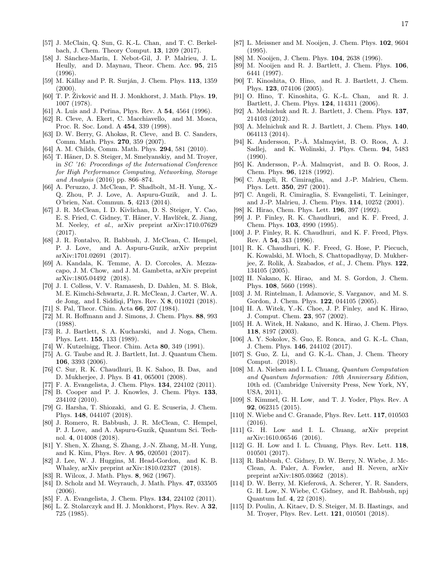- [57] J. McClain, Q. Sun, G. K.-L. Chan, and T. C. Berkelbach, J. Chem. Theory Comput. 13, 1209 (2017).
- [58] J. Sánchez-Marín, I. Nebot-Gil, J. P. Malrieu, J. L. Heully, and D. Maynau, Theor. Chem. Acc. 95, 215 (1996).
- [59] M. Kállay and P. R. Surján, J. Chem. Phys. 113, 1359  $(2000).$
- [60] T. P. Živković and H. J. Monkhorst, J. Math. Phys. 19, 1007 (1978).
- [61] A. Luis and J. Peřina, Phys. Rev. A 54, 4564 (1996).
- [62] R. Cleve, A. Ekert, C. Macchiavello, and M. Mosca, Proc. R. Soc. Lond. A 454, 339 (1998).
- [63] D. W. Berry, G. Ahokas, R. Cleve, and B. C. Sanders, Comm. Math. Phys. 270, 359 (2007).
- [64] A. M. Childs, Comm. Math. Phys. **294**, 581 (2010).
- [65] T. Häner, D. S. Steiger, M. Smelyanskiy, and M. Troyer, in SC '16: Proceedings of the International Conference for High Performance Computing, Networking, Storage and Analysis (2016) pp. 866–874.
- [66] A. Peruzzo, J. McClean, P. Shadbolt, M.-H. Yung, X.- Q. Zhou, P. J. Love, A. Aspuru-Guzik, and J. L. O'brien, Nat. Commun. 5, 4213 (2014).
- [67] J. R. McClean, I. D. Kivlichan, D. S. Steiger, Y. Cao, E. S. Fried, C. Gidney, T. Häner, V. Havlíček, Z. Jiang, M. Neeley, et al., arXiv preprint arXiv:1710.07629 (2017).
- [68] J. R. Fontalvo, R. Babbush, J. McClean, C. Hempel, P. J. Love, and A. Aspuru-Guzik, arXiv preprint arXiv:1701.02691 (2017).
- [69] A. Kandala, K. Temme, A. D. Corcoles, A. Mezzacapo, J. M. Chow, and J. M. Gambetta, arXiv preprint arXiv:1805.04492 (2018).
- [70] J. I. Colless, V. V. Ramasesh, D. Dahlen, M. S. Blok, M. E. Kimchi-Schwartz, J. R. McClean, J. Carter, W. A. de Jong, and I. Siddiqi, Phys. Rev. X 8, 011021 (2018).
- [71] S. Pal, Theor. Chim. Acta **66**, 207 (1984).
- [72] M. R. Hoffmann and J. Simons, J. Chem. Phys. 88, 993 (1988).
- [73] R. J. Bartlett, S. A. Kucharski, and J. Noga, Chem. Phys. Lett. 155, 133 (1989).
- [74] W. Kutzelnigg, Theor. Chim. Acta 80, 349 (1991).
- [75] A. G. Taube and R. J. Bartlett, Int. J. Quantum Chem. 106, 3393 (2006).
- [76] C. Sur, R. K. Chaudhuri, B. K. Sahoo, B. Das, and D. Mukherjee, J. Phys. B 41, 065001 (2008).
- [77] F. A. Evangelista, J. Chem. Phys. **134**, 224102 (2011).
- [78] B. Cooper and P. J. Knowles, J. Chem. Phys. 133, 234102 (2010).
- [79] G. Harsha, T. Shiozaki, and G. E. Scuseria, J. Chem. Phys. 148, 044107 (2018).
- [80] J. Romero, R. Babbush, J. R. McClean, C. Hempel, P. J. Love, and A. Aspuru-Guzik, Quantum Sci. Technol. 4, 014008 (2018).
- [81] Y. Shen, X. Zhang, S. Zhang, J.-N. Zhang, M.-H. Yung, and K. Kim, Phys. Rev. A 95, 020501 (2017).
- [82] J. Lee, W. J. Huggins, M. Head-Gordon, and K. B. Whaley, arXiv preprint arXiv:1810.02327 (2018).
- [83] R. Wilcox, J. Math. Phys. 8, 962 (1967).
- [84] D. Scholz and M. Weyrauch, J. Math. Phys. 47, 033505  $(2006).$
- [85] F. A. Evangelista, J. Chem. Phys. **134**, 224102 (2011).
- [86] L. Z. Stolarczyk and H. J. Monkhorst, Phys. Rev. A 32, 725 (1985).
- [87] L. Meissner and M. Nooijen, J. Chem. Phys. 102, 9604 (1995).
- [88] M. Nooijen, J. Chem. Phys. 104, 2638 (1996).
- [89] M. Nooijen and R. J. Bartlett, J. Chem. Phys. 106, 6441 (1997).
- [90] T. Kinoshita, O. Hino, and R. J. Bartlett, J. Chem. Phys. 123, 074106 (2005).
- [91] O. Hino, T. Kinoshita, G. K.-L. Chan, and R. J. Bartlett, J. Chem. Phys. 124, 114311 (2006).
- [92] A. Melnichuk and R. J. Bartlett, J. Chem. Phys. 137, 214103 (2012).
- [93] A. Melnichuk and R. J. Bartlett, J. Chem. Phys. 140, 064113 (2014).
- [94] K. Andersson, P.-Å. Malmqvist, B. O. Roos, A. J. Sadlej, and K. Wolinski, J. Phys. Chem. 94, 5483 (1990).
- [95] K. Andersson, P.-Å. Malmqvist, and B. O. Roos, J. Chem. Phys. 96, 1218 (1992).
- [96] C. Angeli, R. Cimiraglia, and J.-P. Malrieu, Chem. Phys. Lett. 350, 297 (2001).
- [97] C. Angeli, R. Cimiraglia, S. Evangelisti, T. Leininger, and J.-P. Malrieu, J. Chem. Phys. 114, 10252 (2001).
- [98] K. Hirao, Chem. Phys. Lett. **196**, 397 (1992).
- [99] J. P. Finley, R. K. Chaudhuri, and K. F. Freed, J. Chem. Phys. 103, 4990 (1995).
- [100] J. P. Finley, R. K. Chaudhuri, and K. F. Freed, Phys. Rev. A 54, 343 (1996).
- [101] R. K. Chaudhuri, K. F. Freed, G. Hose, P. Piecuch, K. Kowalski, M. Włoch, S. Chattopadhyay, D. Mukherjee, Z. Rolik, Á. Szabados, et al., J. Chem. Phys. 122, 134105 (2005).
- [102] H. Nakano, K. Hirao, and M. S. Gordon, J. Chem. Phys. 108, 5660 (1998).
- [103] J. M. Rintelman, I. Adamovic, S. Varganov, and M. S. Gordon, J. Chem. Phys. 122, 044105 (2005).
- [104] H. A. Witek, Y.-K. Choe, J. P. Finley, and K. Hirao, J. Comput. Chem. 23, 957 (2002).
- [105] H. A. Witek, H. Nakano, and K. Hirao, J. Chem. Phys. 118, 8197 (2003).
- [106] A. Y. Sokolov, S. Guo, E. Ronca, and G. K.-L. Chan, J. Chem. Phys. 146, 244102 (2017).
- [107] S. Guo, Z. Li, and G. K.-L. Chan, J. Chem. Theory Comput. (2018).
- [108] M. A. Nielsen and I. L. Chuang, Quantum Computation and Quantum Information: 10th Anniversary Edition, 10th ed. (Cambridge University Press, New York, NY, USA, 2011).
- [109] S. Kimmel, G. H. Low, and T. J. Yoder, Phys. Rev. A 92, 062315 (2015).
- [110] N. Wiebe and C. Granade, Phys. Rev. Lett. 117, 010503 (2016).
- [111] G. H. Low and I. L. Chuang, arXiv preprint arXiv:1610.06546 (2016).
- [112] G. H. Low and I. L. Chuang, Phys. Rev. Lett. 118, 010501 (2017).
- [113] R. Babbush, C. Gidney, D. W. Berry, N. Wiebe, J. Mc-Clean, A. Paler, A. Fowler, and H. Neven, arXiv preprint arXiv:1805.03662 (2018).
- [114] D. W. Berry, M. Kieferová, A. Scherer, Y. R. Sanders, G. H. Low, N. Wiebe, C. Gidney, and R. Babbush, npj Quantum Inf. 4, 22 (2018).
- [115] D. Poulin, A. Kitaev, D. S. Steiger, M. B. Hastings, and M. Troyer, Phys. Rev. Lett. 121, 010501 (2018).